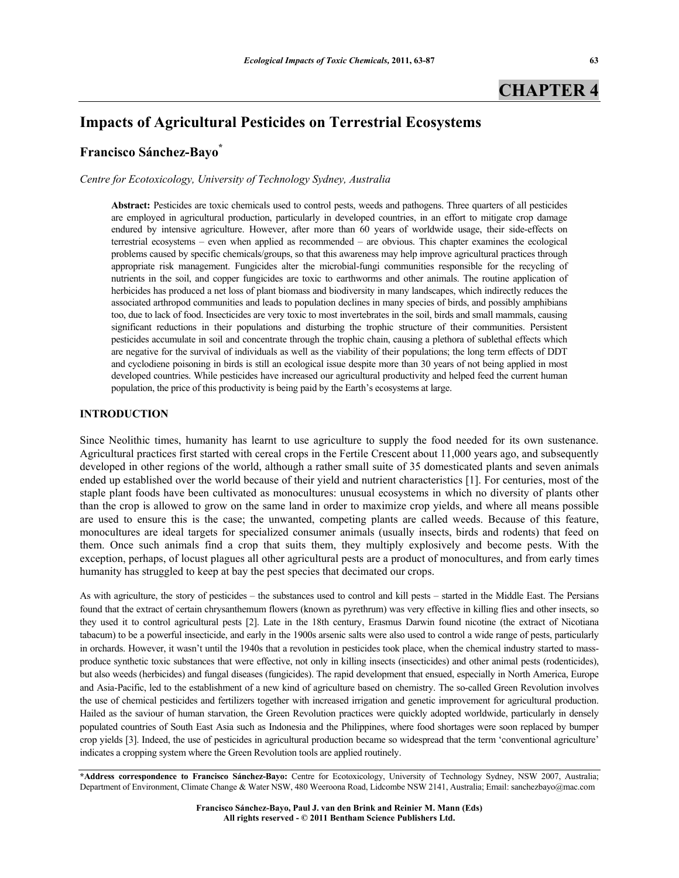# **CHAPTER 4**

# **Impacts of Agricultural Pesticides on Terrestrial Ecosystems**

# **Francisco Sánchez-Bayo\***

*Centre for Ecotoxicology, University of Technology Sydney, Australia* 

**Abstract:** Pesticides are toxic chemicals used to control pests, weeds and pathogens. Three quarters of all pesticides are employed in agricultural production, particularly in developed countries, in an effort to mitigate crop damage endured by intensive agriculture. However, after more than 60 years of worldwide usage, their side-effects on terrestrial ecosystems – even when applied as recommended – are obvious. This chapter examines the ecological problems caused by specific chemicals/groups, so that this awareness may help improve agricultural practices through appropriate risk management. Fungicides alter the microbial-fungi communities responsible for the recycling of nutrients in the soil, and copper fungicides are toxic to earthworms and other animals. The routine application of herbicides has produced a net loss of plant biomass and biodiversity in many landscapes, which indirectly reduces the associated arthropod communities and leads to population declines in many species of birds, and possibly amphibians too, due to lack of food. Insecticides are very toxic to most invertebrates in the soil, birds and small mammals, causing significant reductions in their populations and disturbing the trophic structure of their communities. Persistent pesticides accumulate in soil and concentrate through the trophic chain, causing a plethora of sublethal effects which are negative for the survival of individuals as well as the viability of their populations; the long term effects of DDT and cyclodiene poisoning in birds is still an ecological issue despite more than 30 years of not being applied in most developed countries. While pesticides have increased our agricultural productivity and helped feed the current human population, the price of this productivity is being paid by the Earth's ecosystems at large.

# **INTRODUCTION**

Since Neolithic times, humanity has learnt to use agriculture to supply the food needed for its own sustenance. Agricultural practices first started with cereal crops in the Fertile Crescent about 11,000 years ago, and subsequently developed in other regions of the world, although a rather small suite of 35 domesticated plants and seven animals ended up established over the world because of their yield and nutrient characteristics [1]. For centuries, most of the staple plant foods have been cultivated as monocultures: unusual ecosystems in which no diversity of plants other than the crop is allowed to grow on the same land in order to maximize crop yields, and where all means possible are used to ensure this is the case; the unwanted, competing plants are called weeds. Because of this feature, monocultures are ideal targets for specialized consumer animals (usually insects, birds and rodents) that feed on them. Once such animals find a crop that suits them, they multiply explosively and become pests. With the exception, perhaps, of locust plagues all other agricultural pests are a product of monocultures, and from early times humanity has struggled to keep at bay the pest species that decimated our crops.

As with agriculture, the story of pesticides – the substances used to control and kill pests – started in the Middle East. The Persians found that the extract of certain chrysanthemum flowers (known as pyrethrum) was very effective in killing flies and other insects, so they used it to control agricultural pests [2]. Late in the 18th century, Erasmus Darwin found nicotine (the extract of Nicotiana tabacum) to be a powerful insecticide, and early in the 1900s arsenic salts were also used to control a wide range of pests, particularly in orchards. However, it wasn't until the 1940s that a revolution in pesticides took place, when the chemical industry started to massproduce synthetic toxic substances that were effective, not only in killing insects (insecticides) and other animal pests (rodenticides), but also weeds (herbicides) and fungal diseases (fungicides). The rapid development that ensued, especially in North America, Europe and Asia-Pacific, led to the establishment of a new kind of agriculture based on chemistry. The so-called Green Revolution involves the use of chemical pesticides and fertilizers together with increased irrigation and genetic improvement for agricultural production. Hailed as the saviour of human starvation, the Green Revolution practices were quickly adopted worldwide, particularly in densely populated countries of South East Asia such as Indonesia and the Philippines, where food shortages were soon replaced by bumper crop yields [3]. Indeed, the use of pesticides in agricultural production became so widespread that the term 'conventional agriculture' indicates a cropping system where the Green Revolution tools are applied routinely.

**Francisco Sánchez-Bayo, Paul J. van den Brink and Reinier M. Mann (Eds) All rights reserved - © 2011 Bentham Science Publishers Ltd.** 

**<sup>\*</sup>Address correspondence to Francisco Sánchez-Bayo:** Centre for Ecotoxicology, University of Technology Sydney, NSW 2007, Australia; Department of Environment, Climate Change & Water NSW, 480 Weeroona Road, Lidcombe NSW 2141, Australia; Email: sanchezbayo@mac.com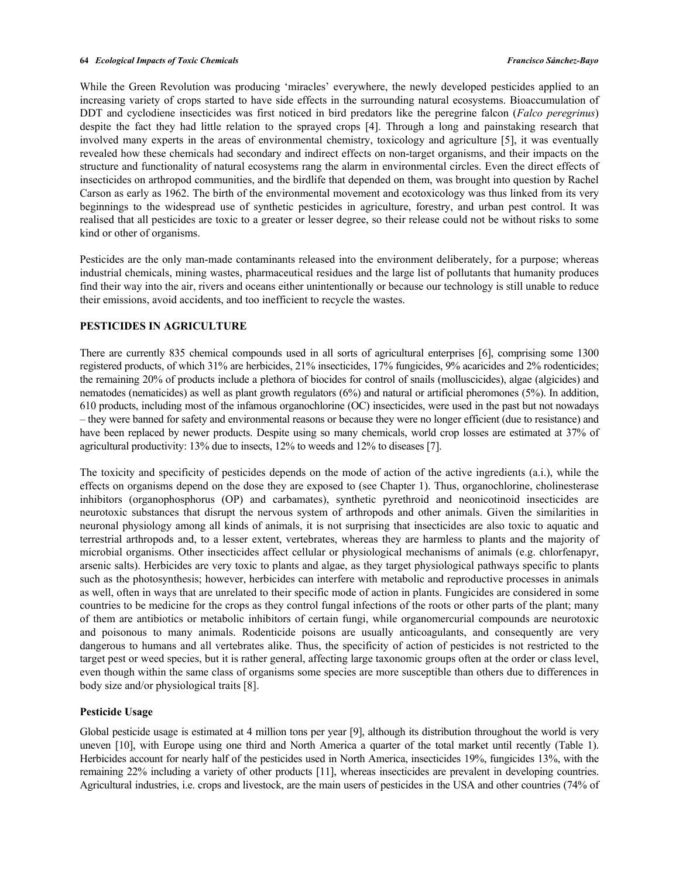While the Green Revolution was producing 'miracles' everywhere, the newly developed pesticides applied to an increasing variety of crops started to have side effects in the surrounding natural ecosystems. Bioaccumulation of DDT and cyclodiene insecticides was first noticed in bird predators like the peregrine falcon (*Falco peregrinus*) despite the fact they had little relation to the sprayed crops [4]. Through a long and painstaking research that involved many experts in the areas of environmental chemistry, toxicology and agriculture [5], it was eventually revealed how these chemicals had secondary and indirect effects on non-target organisms, and their impacts on the structure and functionality of natural ecosystems rang the alarm in environmental circles. Even the direct effects of insecticides on arthropod communities, and the birdlife that depended on them, was brought into question by Rachel Carson as early as 1962. The birth of the environmental movement and ecotoxicology was thus linked from its very beginnings to the widespread use of synthetic pesticides in agriculture, forestry, and urban pest control. It was realised that all pesticides are toxic to a greater or lesser degree, so their release could not be without risks to some kind or other of organisms.

Pesticides are the only man-made contaminants released into the environment deliberately, for a purpose; whereas industrial chemicals, mining wastes, pharmaceutical residues and the large list of pollutants that humanity produces find their way into the air, rivers and oceans either unintentionally or because our technology is still unable to reduce their emissions, avoid accidents, and too inefficient to recycle the wastes.

# **PESTICIDES IN AGRICULTURE**

There are currently 835 chemical compounds used in all sorts of agricultural enterprises [6], comprising some 1300 registered products, of which 31% are herbicides, 21% insecticides, 17% fungicides, 9% acaricides and 2% rodenticides; the remaining 20% of products include a plethora of biocides for control of snails (molluscicides), algae (algicides) and nematodes (nematicides) as well as plant growth regulators (6%) and natural or artificial pheromones (5%). In addition, 610 products, including most of the infamous organochlorine (OC) insecticides, were used in the past but not nowadays – they were banned for safety and environmental reasons or because they were no longer efficient (due to resistance) and have been replaced by newer products. Despite using so many chemicals, world crop losses are estimated at 37% of agricultural productivity: 13% due to insects, 12% to weeds and 12% to diseases [7].

The toxicity and specificity of pesticides depends on the mode of action of the active ingredients (a.i.), while the effects on organisms depend on the dose they are exposed to (see Chapter 1). Thus, organochlorine, cholinesterase inhibitors (organophosphorus (OP) and carbamates), synthetic pyrethroid and neonicotinoid insecticides are neurotoxic substances that disrupt the nervous system of arthropods and other animals. Given the similarities in neuronal physiology among all kinds of animals, it is not surprising that insecticides are also toxic to aquatic and terrestrial arthropods and, to a lesser extent, vertebrates, whereas they are harmless to plants and the majority of microbial organisms. Other insecticides affect cellular or physiological mechanisms of animals (e.g. chlorfenapyr, arsenic salts). Herbicides are very toxic to plants and algae, as they target physiological pathways specific to plants such as the photosynthesis; however, herbicides can interfere with metabolic and reproductive processes in animals as well, often in ways that are unrelated to their specific mode of action in plants. Fungicides are considered in some countries to be medicine for the crops as they control fungal infections of the roots or other parts of the plant; many of them are antibiotics or metabolic inhibitors of certain fungi, while organomercurial compounds are neurotoxic and poisonous to many animals. Rodenticide poisons are usually anticoagulants, and consequently are very dangerous to humans and all vertebrates alike. Thus, the specificity of action of pesticides is not restricted to the target pest or weed species, but it is rather general, affecting large taxonomic groups often at the order or class level, even though within the same class of organisms some species are more susceptible than others due to differences in body size and/or physiological traits [8].

# **Pesticide Usage**

Global pesticide usage is estimated at 4 million tons per year [9], although its distribution throughout the world is very uneven [10], with Europe using one third and North America a quarter of the total market until recently (Table 1). Herbicides account for nearly half of the pesticides used in North America, insecticides 19%, fungicides 13%, with the remaining 22% including a variety of other products [11], whereas insecticides are prevalent in developing countries. Agricultural industries, i.e. crops and livestock, are the main users of pesticides in the USA and other countries (74% of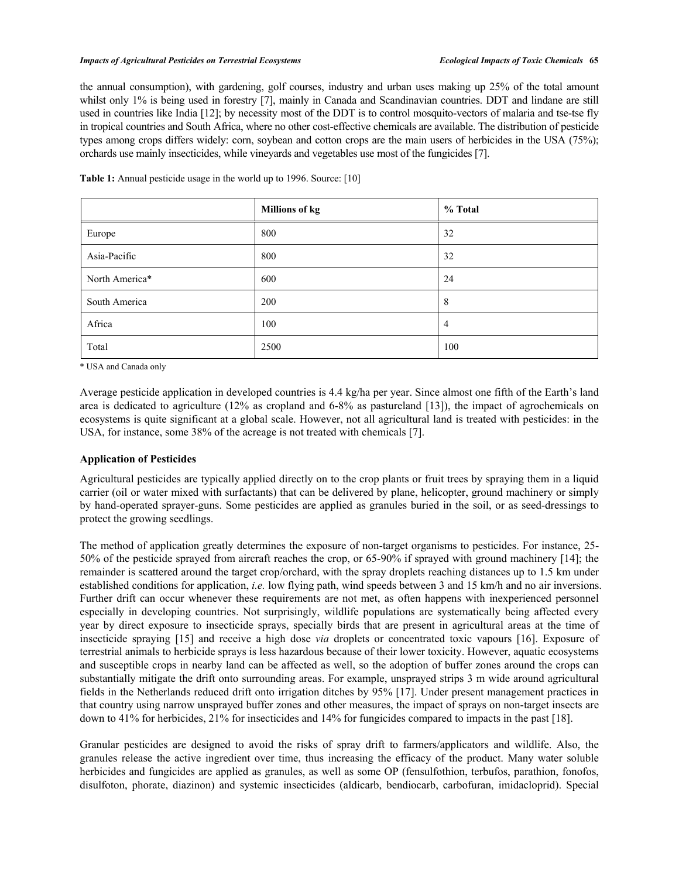#### *Impacts of Agricultural Pesticides on Terrestrial Ecosystems Ecological Impacts of Toxic Chemicals* **65**

the annual consumption), with gardening, golf courses, industry and urban uses making up 25% of the total amount whilst only 1% is being used in forestry [7], mainly in Canada and Scandinavian countries. DDT and lindane are still used in countries like India [12]; by necessity most of the DDT is to control mosquito-vectors of malaria and tse-tse fly in tropical countries and South Africa, where no other cost-effective chemicals are available. The distribution of pesticide types among crops differs widely: corn, soybean and cotton crops are the main users of herbicides in the USA (75%); orchards use mainly insecticides, while vineyards and vegetables use most of the fungicides [7].

**Table 1:** Annual pesticide usage in the world up to 1996. Source: [10]

|                | <b>Millions of kg</b> | % Total |
|----------------|-----------------------|---------|
| Europe         | 800                   | 32      |
| Asia-Pacific   | 800                   | 32      |
| North America* | 600                   | 24      |
| South America  | 200                   | 8       |
| Africa         | 100                   | 4       |
| Total          | 2500                  | 100     |

\* USA and Canada only

Average pesticide application in developed countries is 4.4 kg/ha per year. Since almost one fifth of the Earth's land area is dedicated to agriculture (12% as cropland and 6-8% as pastureland [13]), the impact of agrochemicals on ecosystems is quite significant at a global scale. However, not all agricultural land is treated with pesticides: in the USA, for instance, some 38% of the acreage is not treated with chemicals [7].

#### **Application of Pesticides**

Agricultural pesticides are typically applied directly on to the crop plants or fruit trees by spraying them in a liquid carrier (oil or water mixed with surfactants) that can be delivered by plane, helicopter, ground machinery or simply by hand-operated sprayer-guns. Some pesticides are applied as granules buried in the soil, or as seed-dressings to protect the growing seedlings.

The method of application greatly determines the exposure of non-target organisms to pesticides. For instance, 25- 50% of the pesticide sprayed from aircraft reaches the crop, or 65-90% if sprayed with ground machinery [14]; the remainder is scattered around the target crop/orchard, with the spray droplets reaching distances up to 1.5 km under established conditions for application, *i.e.* low flying path, wind speeds between 3 and 15 km/h and no air inversions. Further drift can occur whenever these requirements are not met, as often happens with inexperienced personnel especially in developing countries. Not surprisingly, wildlife populations are systematically being affected every year by direct exposure to insecticide sprays, specially birds that are present in agricultural areas at the time of insecticide spraying [15] and receive a high dose *via* droplets or concentrated toxic vapours [16]. Exposure of terrestrial animals to herbicide sprays is less hazardous because of their lower toxicity. However, aquatic ecosystems and susceptible crops in nearby land can be affected as well, so the adoption of buffer zones around the crops can substantially mitigate the drift onto surrounding areas. For example, unsprayed strips 3 m wide around agricultural fields in the Netherlands reduced drift onto irrigation ditches by 95% [17]. Under present management practices in that country using narrow unsprayed buffer zones and other measures, the impact of sprays on non-target insects are down to 41% for herbicides, 21% for insecticides and 14% for fungicides compared to impacts in the past [18].

Granular pesticides are designed to avoid the risks of spray drift to farmers/applicators and wildlife. Also, the granules release the active ingredient over time, thus increasing the efficacy of the product. Many water soluble herbicides and fungicides are applied as granules, as well as some OP (fensulfothion, terbufos, parathion, fonofos, disulfoton, phorate, diazinon) and systemic insecticides (aldicarb, bendiocarb, carbofuran, imidacloprid). Special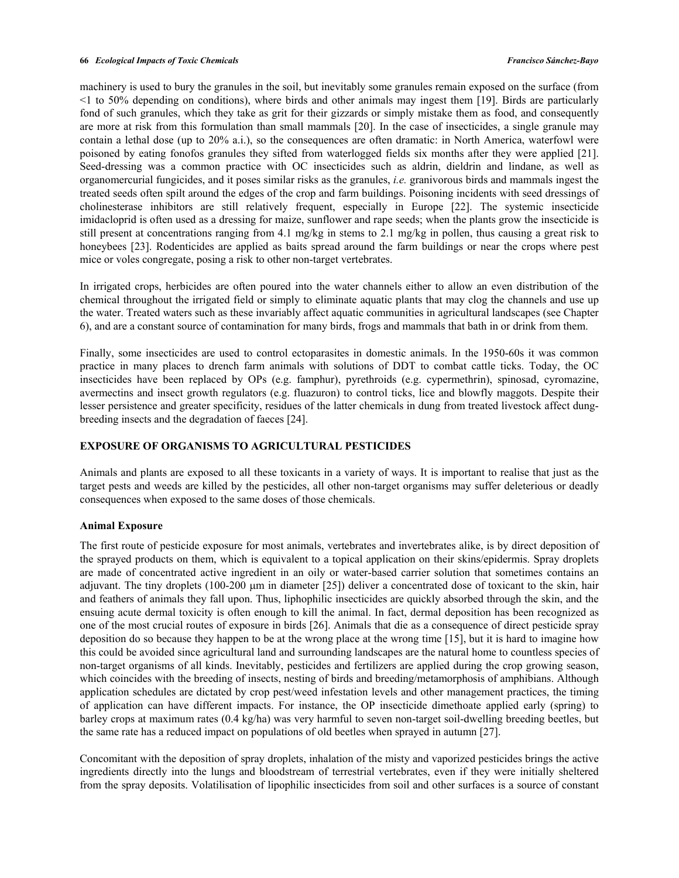machinery is used to bury the granules in the soil, but inevitably some granules remain exposed on the surface (from <1 to 50% depending on conditions), where birds and other animals may ingest them [19]. Birds are particularly fond of such granules, which they take as grit for their gizzards or simply mistake them as food, and consequently are more at risk from this formulation than small mammals [20]. In the case of insecticides, a single granule may contain a lethal dose (up to 20% a.i.), so the consequences are often dramatic: in North America, waterfowl were poisoned by eating fonofos granules they sifted from waterlogged fields six months after they were applied [21]. Seed-dressing was a common practice with OC insecticides such as aldrin, dieldrin and lindane, as well as organomercurial fungicides, and it poses similar risks as the granules, *i.e.* granivorous birds and mammals ingest the treated seeds often spilt around the edges of the crop and farm buildings. Poisoning incidents with seed dressings of cholinesterase inhibitors are still relatively frequent, especially in Europe [22]. The systemic insecticide imidacloprid is often used as a dressing for maize, sunflower and rape seeds; when the plants grow the insecticide is still present at concentrations ranging from 4.1 mg/kg in stems to 2.1 mg/kg in pollen, thus causing a great risk to honeybees [23]. Rodenticides are applied as baits spread around the farm buildings or near the crops where pest mice or voles congregate, posing a risk to other non-target vertebrates.

In irrigated crops, herbicides are often poured into the water channels either to allow an even distribution of the chemical throughout the irrigated field or simply to eliminate aquatic plants that may clog the channels and use up the water. Treated waters such as these invariably affect aquatic communities in agricultural landscapes (see Chapter 6), and are a constant source of contamination for many birds, frogs and mammals that bath in or drink from them.

Finally, some insecticides are used to control ectoparasites in domestic animals. In the 1950-60s it was common practice in many places to drench farm animals with solutions of DDT to combat cattle ticks. Today, the OC insecticides have been replaced by OPs (e.g. famphur), pyrethroids (e.g. cypermethrin), spinosad, cyromazine, avermectins and insect growth regulators (e.g. fluazuron) to control ticks, lice and blowfly maggots. Despite their lesser persistence and greater specificity, residues of the latter chemicals in dung from treated livestock affect dungbreeding insects and the degradation of faeces [24].

#### **EXPOSURE OF ORGANISMS TO AGRICULTURAL PESTICIDES**

Animals and plants are exposed to all these toxicants in a variety of ways. It is important to realise that just as the target pests and weeds are killed by the pesticides, all other non-target organisms may suffer deleterious or deadly consequences when exposed to the same doses of those chemicals.

#### **Animal Exposure**

The first route of pesticide exposure for most animals, vertebrates and invertebrates alike, is by direct deposition of the sprayed products on them, which is equivalent to a topical application on their skins/epidermis. Spray droplets are made of concentrated active ingredient in an oily or water-based carrier solution that sometimes contains an adjuvant. The tiny droplets (100-200 µm in diameter [25]) deliver a concentrated dose of toxicant to the skin, hair and feathers of animals they fall upon. Thus, liphophilic insecticides are quickly absorbed through the skin, and the ensuing acute dermal toxicity is often enough to kill the animal. In fact, dermal deposition has been recognized as one of the most crucial routes of exposure in birds [26]. Animals that die as a consequence of direct pesticide spray deposition do so because they happen to be at the wrong place at the wrong time [15], but it is hard to imagine how this could be avoided since agricultural land and surrounding landscapes are the natural home to countless species of non-target organisms of all kinds. Inevitably, pesticides and fertilizers are applied during the crop growing season, which coincides with the breeding of insects, nesting of birds and breeding/metamorphosis of amphibians. Although application schedules are dictated by crop pest/weed infestation levels and other management practices, the timing of application can have different impacts. For instance, the OP insecticide dimethoate applied early (spring) to barley crops at maximum rates (0.4 kg/ha) was very harmful to seven non-target soil-dwelling breeding beetles, but the same rate has a reduced impact on populations of old beetles when sprayed in autumn [27].

Concomitant with the deposition of spray droplets, inhalation of the misty and vaporized pesticides brings the active ingredients directly into the lungs and bloodstream of terrestrial vertebrates, even if they were initially sheltered from the spray deposits. Volatilisation of lipophilic insecticides from soil and other surfaces is a source of constant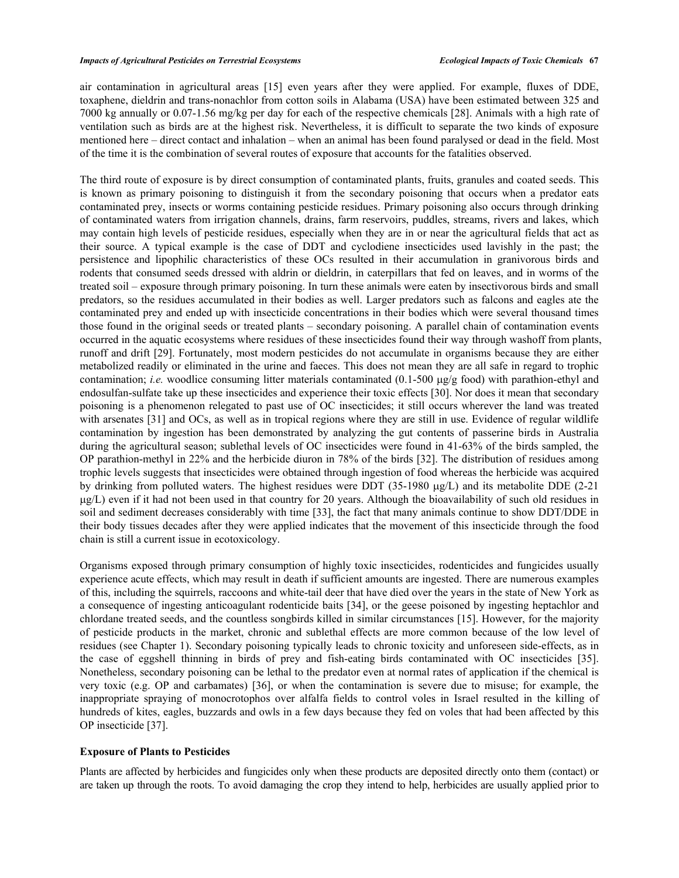air contamination in agricultural areas [15] even years after they were applied. For example, fluxes of DDE, toxaphene, dieldrin and trans-nonachlor from cotton soils in Alabama (USA) have been estimated between 325 and 7000 kg annually or 0.07-1.56 mg/kg per day for each of the respective chemicals [28]. Animals with a high rate of ventilation such as birds are at the highest risk. Nevertheless, it is difficult to separate the two kinds of exposure mentioned here – direct contact and inhalation – when an animal has been found paralysed or dead in the field. Most of the time it is the combination of several routes of exposure that accounts for the fatalities observed.

The third route of exposure is by direct consumption of contaminated plants, fruits, granules and coated seeds. This is known as primary poisoning to distinguish it from the secondary poisoning that occurs when a predator eats contaminated prey, insects or worms containing pesticide residues. Primary poisoning also occurs through drinking of contaminated waters from irrigation channels, drains, farm reservoirs, puddles, streams, rivers and lakes, which may contain high levels of pesticide residues, especially when they are in or near the agricultural fields that act as their source. A typical example is the case of DDT and cyclodiene insecticides used lavishly in the past; the persistence and lipophilic characteristics of these OCs resulted in their accumulation in granivorous birds and rodents that consumed seeds dressed with aldrin or dieldrin, in caterpillars that fed on leaves, and in worms of the treated soil – exposure through primary poisoning. In turn these animals were eaten by insectivorous birds and small predators, so the residues accumulated in their bodies as well. Larger predators such as falcons and eagles ate the contaminated prey and ended up with insecticide concentrations in their bodies which were several thousand times those found in the original seeds or treated plants – secondary poisoning. A parallel chain of contamination events occurred in the aquatic ecosystems where residues of these insecticides found their way through washoff from plants, runoff and drift [29]. Fortunately, most modern pesticides do not accumulate in organisms because they are either metabolized readily or eliminated in the urine and faeces. This does not mean they are all safe in regard to trophic contamination; *i.e.* woodlice consuming litter materials contaminated  $(0.1-500 \mu g/g$  food) with parathion-ethyl and endosulfan-sulfate take up these insecticides and experience their toxic effects [30]. Nor does it mean that secondary poisoning is a phenomenon relegated to past use of OC insecticides; it still occurs wherever the land was treated with arsenates [31] and OCs, as well as in tropical regions where they are still in use. Evidence of regular wildlife contamination by ingestion has been demonstrated by analyzing the gut contents of passerine birds in Australia during the agricultural season; sublethal levels of OC insecticides were found in 41-63% of the birds sampled, the OP parathion-methyl in 22% and the herbicide diuron in 78% of the birds [32]. The distribution of residues among trophic levels suggests that insecticides were obtained through ingestion of food whereas the herbicide was acquired by drinking from polluted waters. The highest residues were DDT (35-1980  $\mu$ g/L) and its metabolite DDE (2-21 g/L) even if it had not been used in that country for 20 years. Although the bioavailability of such old residues in soil and sediment decreases considerably with time [33], the fact that many animals continue to show DDT/DDE in their body tissues decades after they were applied indicates that the movement of this insecticide through the food chain is still a current issue in ecotoxicology.

Organisms exposed through primary consumption of highly toxic insecticides, rodenticides and fungicides usually experience acute effects, which may result in death if sufficient amounts are ingested. There are numerous examples of this, including the squirrels, raccoons and white-tail deer that have died over the years in the state of New York as a consequence of ingesting anticoagulant rodenticide baits [34], or the geese poisoned by ingesting heptachlor and chlordane treated seeds, and the countless songbirds killed in similar circumstances [15]. However, for the majority of pesticide products in the market, chronic and sublethal effects are more common because of the low level of residues (see Chapter 1). Secondary poisoning typically leads to chronic toxicity and unforeseen side-effects, as in the case of eggshell thinning in birds of prey and fish-eating birds contaminated with OC insecticides [35]. Nonetheless, secondary poisoning can be lethal to the predator even at normal rates of application if the chemical is very toxic (e.g. OP and carbamates) [36], or when the contamination is severe due to misuse; for example, the inappropriate spraying of monocrotophos over alfalfa fields to control voles in Israel resulted in the killing of hundreds of kites, eagles, buzzards and owls in a few days because they fed on voles that had been affected by this OP insecticide [37].

#### **Exposure of Plants to Pesticides**

Plants are affected by herbicides and fungicides only when these products are deposited directly onto them (contact) or are taken up through the roots. To avoid damaging the crop they intend to help, herbicides are usually applied prior to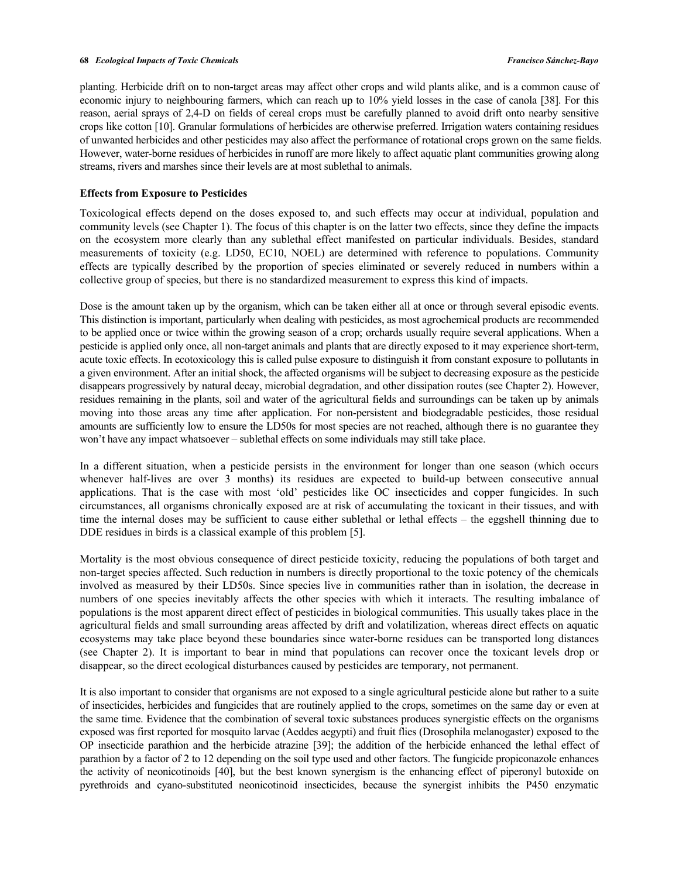planting. Herbicide drift on to non-target areas may affect other crops and wild plants alike, and is a common cause of economic injury to neighbouring farmers, which can reach up to 10% yield losses in the case of canola [38]. For this reason, aerial sprays of 2,4-D on fields of cereal crops must be carefully planned to avoid drift onto nearby sensitive crops like cotton [10]. Granular formulations of herbicides are otherwise preferred. Irrigation waters containing residues of unwanted herbicides and other pesticides may also affect the performance of rotational crops grown on the same fields. However, water-borne residues of herbicides in runoff are more likely to affect aquatic plant communities growing along streams, rivers and marshes since their levels are at most sublethal to animals.

## **Effects from Exposure to Pesticides**

Toxicological effects depend on the doses exposed to, and such effects may occur at individual, population and community levels (see Chapter 1). The focus of this chapter is on the latter two effects, since they define the impacts on the ecosystem more clearly than any sublethal effect manifested on particular individuals. Besides, standard measurements of toxicity (e.g. LD50, EC10, NOEL) are determined with reference to populations. Community effects are typically described by the proportion of species eliminated or severely reduced in numbers within a collective group of species, but there is no standardized measurement to express this kind of impacts.

Dose is the amount taken up by the organism, which can be taken either all at once or through several episodic events. This distinction is important, particularly when dealing with pesticides, as most agrochemical products are recommended to be applied once or twice within the growing season of a crop; orchards usually require several applications. When a pesticide is applied only once, all non-target animals and plants that are directly exposed to it may experience short-term, acute toxic effects. In ecotoxicology this is called pulse exposure to distinguish it from constant exposure to pollutants in a given environment. After an initial shock, the affected organisms will be subject to decreasing exposure as the pesticide disappears progressively by natural decay, microbial degradation, and other dissipation routes (see Chapter 2). However, residues remaining in the plants, soil and water of the agricultural fields and surroundings can be taken up by animals moving into those areas any time after application. For non-persistent and biodegradable pesticides, those residual amounts are sufficiently low to ensure the LD50s for most species are not reached, although there is no guarantee they won't have any impact whatsoever – sublethal effects on some individuals may still take place.

In a different situation, when a pesticide persists in the environment for longer than one season (which occurs whenever half-lives are over 3 months) its residues are expected to build-up between consecutive annual applications. That is the case with most 'old' pesticides like OC insecticides and copper fungicides. In such circumstances, all organisms chronically exposed are at risk of accumulating the toxicant in their tissues, and with time the internal doses may be sufficient to cause either sublethal or lethal effects – the eggshell thinning due to DDE residues in birds is a classical example of this problem [5].

Mortality is the most obvious consequence of direct pesticide toxicity, reducing the populations of both target and non-target species affected. Such reduction in numbers is directly proportional to the toxic potency of the chemicals involved as measured by their LD50s. Since species live in communities rather than in isolation, the decrease in numbers of one species inevitably affects the other species with which it interacts. The resulting imbalance of populations is the most apparent direct effect of pesticides in biological communities. This usually takes place in the agricultural fields and small surrounding areas affected by drift and volatilization, whereas direct effects on aquatic ecosystems may take place beyond these boundaries since water-borne residues can be transported long distances (see Chapter 2). It is important to bear in mind that populations can recover once the toxicant levels drop or disappear, so the direct ecological disturbances caused by pesticides are temporary, not permanent.

It is also important to consider that organisms are not exposed to a single agricultural pesticide alone but rather to a suite of insecticides, herbicides and fungicides that are routinely applied to the crops, sometimes on the same day or even at the same time. Evidence that the combination of several toxic substances produces synergistic effects on the organisms exposed was first reported for mosquito larvae (Aeddes aegypti) and fruit flies (Drosophila melanogaster) exposed to the OP insecticide parathion and the herbicide atrazine [39]; the addition of the herbicide enhanced the lethal effect of parathion by a factor of 2 to 12 depending on the soil type used and other factors. The fungicide propiconazole enhances the activity of neonicotinoids [40], but the best known synergism is the enhancing effect of piperonyl butoxide on pyrethroids and cyano-substituted neonicotinoid insecticides, because the synergist inhibits the P450 enzymatic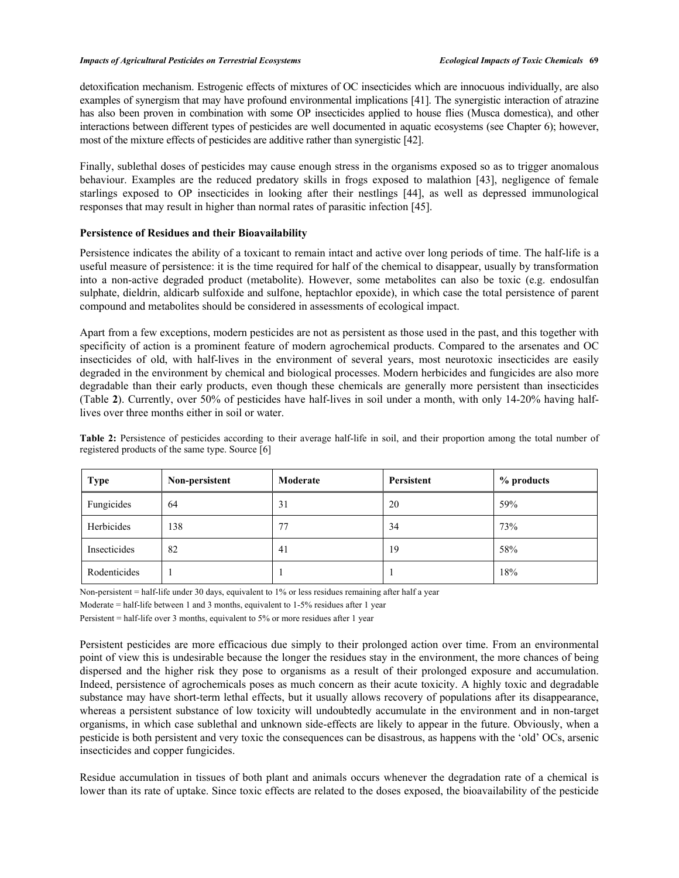detoxification mechanism. Estrogenic effects of mixtures of OC insecticides which are innocuous individually, are also examples of synergism that may have profound environmental implications [41]. The synergistic interaction of atrazine has also been proven in combination with some OP insecticides applied to house flies (Musca domestica), and other interactions between different types of pesticides are well documented in aquatic ecosystems (see Chapter 6); however, most of the mixture effects of pesticides are additive rather than synergistic [42].

Finally, sublethal doses of pesticides may cause enough stress in the organisms exposed so as to trigger anomalous behaviour. Examples are the reduced predatory skills in frogs exposed to malathion [43], negligence of female starlings exposed to OP insecticides in looking after their nestlings [44], as well as depressed immunological responses that may result in higher than normal rates of parasitic infection [45].

#### **Persistence of Residues and their Bioavailability**

Persistence indicates the ability of a toxicant to remain intact and active over long periods of time. The half-life is a useful measure of persistence: it is the time required for half of the chemical to disappear, usually by transformation into a non-active degraded product (metabolite). However, some metabolites can also be toxic (e.g. endosulfan sulphate, dieldrin, aldicarb sulfoxide and sulfone, heptachlor epoxide), in which case the total persistence of parent compound and metabolites should be considered in assessments of ecological impact.

Apart from a few exceptions, modern pesticides are not as persistent as those used in the past, and this together with specificity of action is a prominent feature of modern agrochemical products. Compared to the arsenates and OC insecticides of old, with half-lives in the environment of several years, most neurotoxic insecticides are easily degraded in the environment by chemical and biological processes. Modern herbicides and fungicides are also more degradable than their early products, even though these chemicals are generally more persistent than insecticides (Table **2**). Currently, over 50% of pesticides have half-lives in soil under a month, with only 14-20% having halflives over three months either in soil or water.

**Table 2:** Persistence of pesticides according to their average half-life in soil, and their proportion among the total number of registered products of the same type. Source [6]

| <b>Type</b>  | Non-persistent | Moderate | Persistent | % products |
|--------------|----------------|----------|------------|------------|
| Fungicides   | 64             | 31       | 20         | 59%        |
| Herbicides   | 138            | 77       | 34         | 73%        |
| Insecticides | 82             | 41       | 19         | 58%        |
| Rodenticides |                |          |            | 18%        |

Non-persistent = half-life under 30 days, equivalent to 1% or less residues remaining after half a year

Moderate = half-life between 1 and 3 months, equivalent to 1-5% residues after 1 year

Persistent = half-life over 3 months, equivalent to 5% or more residues after 1 year

Persistent pesticides are more efficacious due simply to their prolonged action over time. From an environmental point of view this is undesirable because the longer the residues stay in the environment, the more chances of being dispersed and the higher risk they pose to organisms as a result of their prolonged exposure and accumulation. Indeed, persistence of agrochemicals poses as much concern as their acute toxicity. A highly toxic and degradable substance may have short-term lethal effects, but it usually allows recovery of populations after its disappearance, whereas a persistent substance of low toxicity will undoubtedly accumulate in the environment and in non-target organisms, in which case sublethal and unknown side-effects are likely to appear in the future. Obviously, when a pesticide is both persistent and very toxic the consequences can be disastrous, as happens with the 'old' OCs, arsenic insecticides and copper fungicides.

Residue accumulation in tissues of both plant and animals occurs whenever the degradation rate of a chemical is lower than its rate of uptake. Since toxic effects are related to the doses exposed, the bioavailability of the pesticide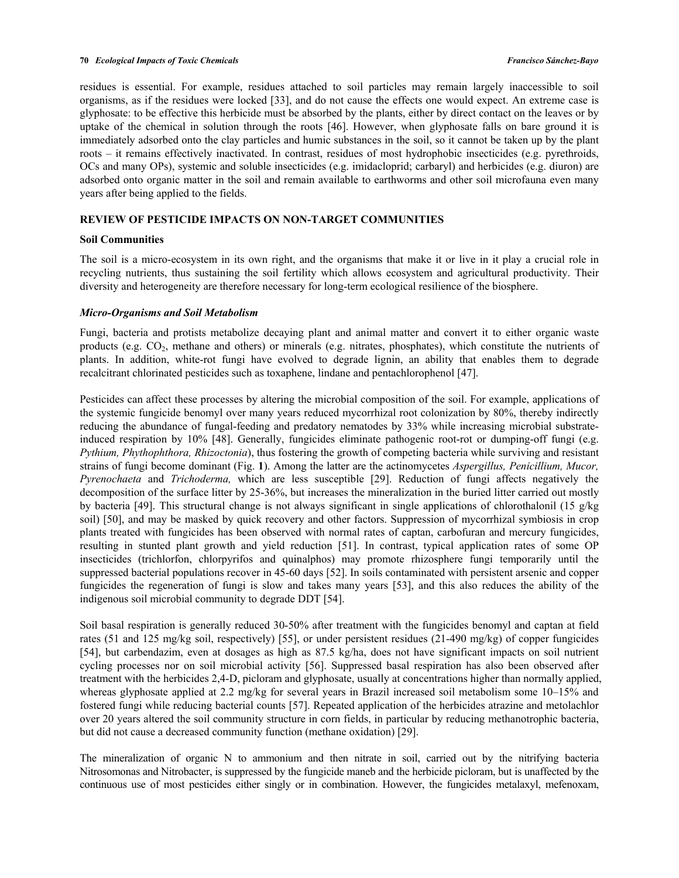residues is essential. For example, residues attached to soil particles may remain largely inaccessible to soil organisms, as if the residues were locked [33], and do not cause the effects one would expect. An extreme case is glyphosate: to be effective this herbicide must be absorbed by the plants, either by direct contact on the leaves or by uptake of the chemical in solution through the roots [46]. However, when glyphosate falls on bare ground it is immediately adsorbed onto the clay particles and humic substances in the soil, so it cannot be taken up by the plant roots – it remains effectively inactivated. In contrast, residues of most hydrophobic insecticides (e.g. pyrethroids, OCs and many OPs), systemic and soluble insecticides (e.g. imidacloprid; carbaryl) and herbicides (e.g. diuron) are adsorbed onto organic matter in the soil and remain available to earthworms and other soil microfauna even many years after being applied to the fields.

# **REVIEW OF PESTICIDE IMPACTS ON NON-TARGET COMMUNITIES**

#### **Soil Communities**

The soil is a micro-ecosystem in its own right, and the organisms that make it or live in it play a crucial role in recycling nutrients, thus sustaining the soil fertility which allows ecosystem and agricultural productivity. Their diversity and heterogeneity are therefore necessary for long-term ecological resilience of the biosphere.

#### *Micro-Organisms and Soil Metabolism*

Fungi, bacteria and protists metabolize decaying plant and animal matter and convert it to either organic waste products (e.g. CO2, methane and others) or minerals (e.g. nitrates, phosphates), which constitute the nutrients of plants. In addition, white-rot fungi have evolved to degrade lignin, an ability that enables them to degrade recalcitrant chlorinated pesticides such as toxaphene, lindane and pentachlorophenol [47].

Pesticides can affect these processes by altering the microbial composition of the soil. For example, applications of the systemic fungicide benomyl over many years reduced mycorrhizal root colonization by 80%, thereby indirectly reducing the abundance of fungal-feeding and predatory nematodes by 33% while increasing microbial substrateinduced respiration by 10% [48]. Generally, fungicides eliminate pathogenic root-rot or dumping-off fungi (e.g. *Pythium, Phythophthora, Rhizoctonia*), thus fostering the growth of competing bacteria while surviving and resistant strains of fungi become dominant (Fig. **1**). Among the latter are the actinomycetes *Aspergillus, Penicillium, Mucor, Pyrenochaeta* and *Trichoderma,* which are less susceptible [29]. Reduction of fungi affects negatively the decomposition of the surface litter by 25-36%, but increases the mineralization in the buried litter carried out mostly by bacteria [49]. This structural change is not always significant in single applications of chlorothalonil (15 g/kg soil) [50], and may be masked by quick recovery and other factors. Suppression of mycorrhizal symbiosis in crop plants treated with fungicides has been observed with normal rates of captan, carbofuran and mercury fungicides, resulting in stunted plant growth and yield reduction [51]. In contrast, typical application rates of some OP insecticides (trichlorfon, chlorpyrifos and quinalphos) may promote rhizosphere fungi temporarily until the suppressed bacterial populations recover in 45-60 days [52]. In soils contaminated with persistent arsenic and copper fungicides the regeneration of fungi is slow and takes many years [53], and this also reduces the ability of the indigenous soil microbial community to degrade DDT [54].

Soil basal respiration is generally reduced 30-50% after treatment with the fungicides benomyl and captan at field rates (51 and 125 mg/kg soil, respectively) [55], or under persistent residues (21-490 mg/kg) of copper fungicides [54], but carbendazim, even at dosages as high as 87.5 kg/ha, does not have significant impacts on soil nutrient cycling processes nor on soil microbial activity [56]. Suppressed basal respiration has also been observed after treatment with the herbicides 2,4-D, picloram and glyphosate, usually at concentrations higher than normally applied, whereas glyphosate applied at 2.2 mg/kg for several years in Brazil increased soil metabolism some 10–15% and fostered fungi while reducing bacterial counts [57]. Repeated application of the herbicides atrazine and metolachlor over 20 years altered the soil community structure in corn fields, in particular by reducing methanotrophic bacteria, but did not cause a decreased community function (methane oxidation) [29].

The mineralization of organic N to ammonium and then nitrate in soil, carried out by the nitrifying bacteria Nitrosomonas and Nitrobacter, is suppressed by the fungicide maneb and the herbicide picloram, but is unaffected by the continuous use of most pesticides either singly or in combination. However, the fungicides metalaxyl, mefenoxam,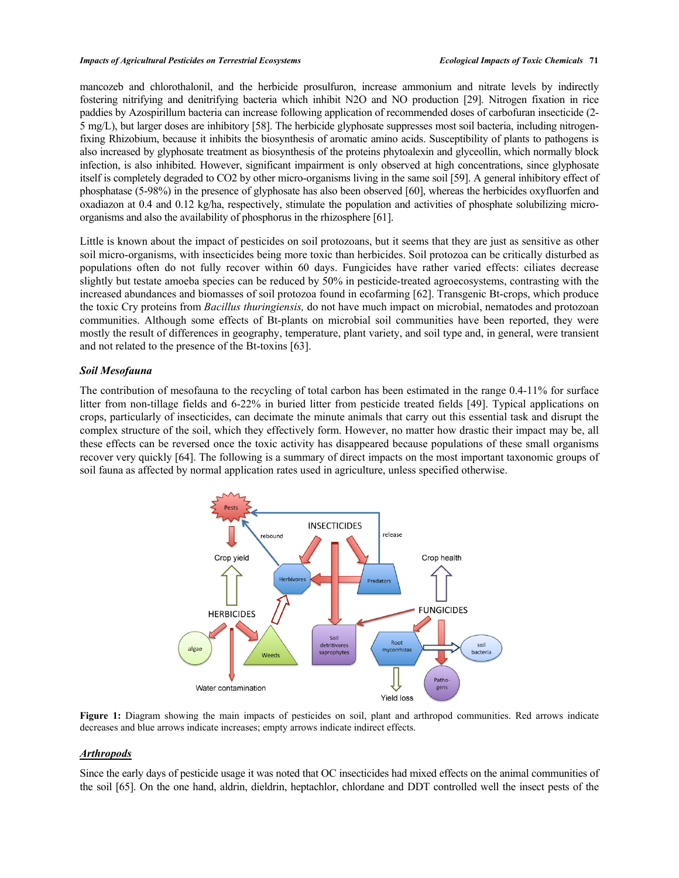mancozeb and chlorothalonil, and the herbicide prosulfuron, increase ammonium and nitrate levels by indirectly fostering nitrifying and denitrifying bacteria which inhibit N2O and NO production [29]. Nitrogen fixation in rice paddies by Azospirillum bacteria can increase following application of recommended doses of carbofuran insecticide (2- 5 mg/L), but larger doses are inhibitory [58]. The herbicide glyphosate suppresses most soil bacteria, including nitrogenfixing Rhizobium, because it inhibits the biosynthesis of aromatic amino acids. Susceptibility of plants to pathogens is also increased by glyphosate treatment as biosynthesis of the proteins phytoalexin and glyceollin, which normally block infection, is also inhibited. However, significant impairment is only observed at high concentrations, since glyphosate itself is completely degraded to CO2 by other micro-organisms living in the same soil [59]. A general inhibitory effect of phosphatase (5-98%) in the presence of glyphosate has also been observed [60], whereas the herbicides oxyfluorfen and oxadiazon at 0.4 and 0.12 kg/ha, respectively, stimulate the population and activities of phosphate solubilizing microorganisms and also the availability of phosphorus in the rhizosphere [61].

Little is known about the impact of pesticides on soil protozoans, but it seems that they are just as sensitive as other soil micro-organisms, with insecticides being more toxic than herbicides. Soil protozoa can be critically disturbed as populations often do not fully recover within 60 days. Fungicides have rather varied effects: ciliates decrease slightly but testate amoeba species can be reduced by 50% in pesticide-treated agroecosystems, contrasting with the increased abundances and biomasses of soil protozoa found in ecofarming [62]. Transgenic Bt-crops, which produce the toxic Cry proteins from *Bacillus thuringiensis,* do not have much impact on microbial, nematodes and protozoan communities. Although some effects of Bt-plants on microbial soil communities have been reported, they were mostly the result of differences in geography, temperature, plant variety, and soil type and, in general, were transient and not related to the presence of the Bt-toxins [63].

#### *Soil Mesofauna*

The contribution of mesofauna to the recycling of total carbon has been estimated in the range 0.4-11% for surface litter from non-tillage fields and 6-22% in buried litter from pesticide treated fields [49]. Typical applications on crops, particularly of insecticides, can decimate the minute animals that carry out this essential task and disrupt the complex structure of the soil, which they effectively form. However, no matter how drastic their impact may be, all these effects can be reversed once the toxic activity has disappeared because populations of these small organisms recover very quickly [64]. The following is a summary of direct impacts on the most important taxonomic groups of soil fauna as affected by normal application rates used in agriculture, unless specified otherwise.



**Figure 1:** Diagram showing the main impacts of pesticides on soil, plant and arthropod communities. Red arrows indicate decreases and blue arrows indicate increases; empty arrows indicate indirect effects.

## *Arthropods*

Since the early days of pesticide usage it was noted that OC insecticides had mixed effects on the animal communities of the soil [65]. On the one hand, aldrin, dieldrin, heptachlor, chlordane and DDT controlled well the insect pests of the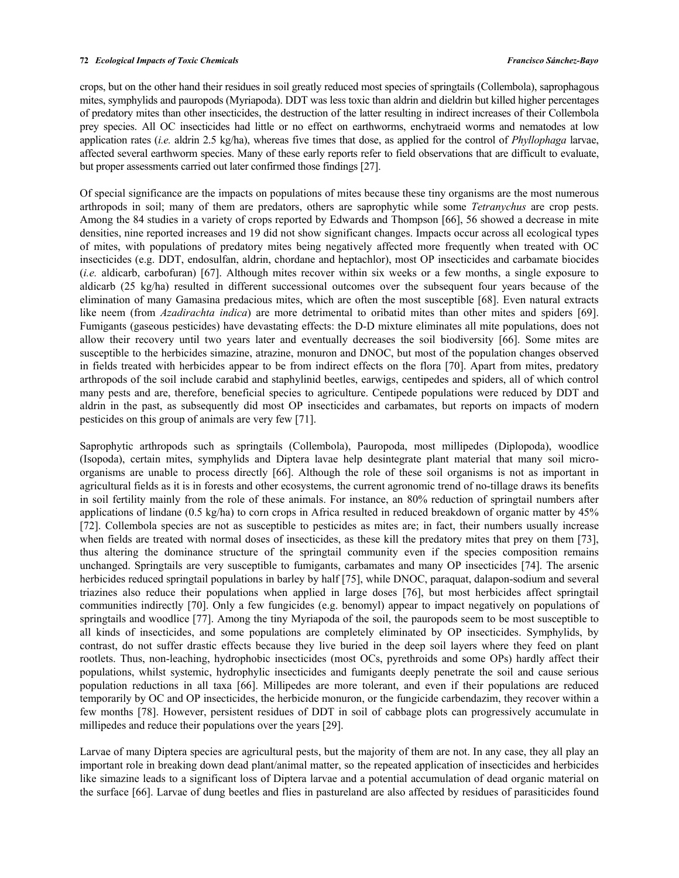crops, but on the other hand their residues in soil greatly reduced most species of springtails (Collembola), saprophagous mites, symphylids and pauropods (Myriapoda). DDT was less toxic than aldrin and dieldrin but killed higher percentages of predatory mites than other insecticides, the destruction of the latter resulting in indirect increases of their Collembola prey species. All OC insecticides had little or no effect on earthworms, enchytraeid worms and nematodes at low application rates (*i.e.* aldrin 2.5 kg/ha), whereas five times that dose, as applied for the control of *Phyllophaga* larvae, affected several earthworm species. Many of these early reports refer to field observations that are difficult to evaluate, but proper assessments carried out later confirmed those findings [27].

Of special significance are the impacts on populations of mites because these tiny organisms are the most numerous arthropods in soil; many of them are predators, others are saprophytic while some *Tetranychus* are crop pests. Among the 84 studies in a variety of crops reported by Edwards and Thompson [66], 56 showed a decrease in mite densities, nine reported increases and 19 did not show significant changes. Impacts occur across all ecological types of mites, with populations of predatory mites being negatively affected more frequently when treated with OC insecticides (e.g. DDT, endosulfan, aldrin, chordane and heptachlor), most OP insecticides and carbamate biocides (*i.e.* aldicarb, carbofuran) [67]. Although mites recover within six weeks or a few months, a single exposure to aldicarb (25 kg/ha) resulted in different successional outcomes over the subsequent four years because of the elimination of many Gamasina predacious mites, which are often the most susceptible [68]. Even natural extracts like neem (from *Azadirachta indica*) are more detrimental to oribatid mites than other mites and spiders [69]. Fumigants (gaseous pesticides) have devastating effects: the D-D mixture eliminates all mite populations, does not allow their recovery until two years later and eventually decreases the soil biodiversity [66]. Some mites are susceptible to the herbicides simazine, atrazine, monuron and DNOC, but most of the population changes observed in fields treated with herbicides appear to be from indirect effects on the flora [70]. Apart from mites, predatory arthropods of the soil include carabid and staphylinid beetles, earwigs, centipedes and spiders, all of which control many pests and are, therefore, beneficial species to agriculture. Centipede populations were reduced by DDT and aldrin in the past, as subsequently did most OP insecticides and carbamates, but reports on impacts of modern pesticides on this group of animals are very few [71].

Saprophytic arthropods such as springtails (Collembola), Pauropoda, most millipedes (Diplopoda), woodlice (Isopoda), certain mites, symphylids and Diptera lavae help desintegrate plant material that many soil microorganisms are unable to process directly [66]. Although the role of these soil organisms is not as important in agricultural fields as it is in forests and other ecosystems, the current agronomic trend of no-tillage draws its benefits in soil fertility mainly from the role of these animals. For instance, an 80% reduction of springtail numbers after applications of lindane (0.5 kg/ha) to corn crops in Africa resulted in reduced breakdown of organic matter by 45% [72]. Collembola species are not as susceptible to pesticides as mites are; in fact, their numbers usually increase when fields are treated with normal doses of insecticides, as these kill the predatory mites that prey on them [73], thus altering the dominance structure of the springtail community even if the species composition remains unchanged. Springtails are very susceptible to fumigants, carbamates and many OP insecticides [74]. The arsenic herbicides reduced springtail populations in barley by half [75], while DNOC, paraquat, dalapon-sodium and several triazines also reduce their populations when applied in large doses [76], but most herbicides affect springtail communities indirectly [70]. Only a few fungicides (e.g. benomyl) appear to impact negatively on populations of springtails and woodlice [77]. Among the tiny Myriapoda of the soil, the pauropods seem to be most susceptible to all kinds of insecticides, and some populations are completely eliminated by OP insecticides. Symphylids, by contrast, do not suffer drastic effects because they live buried in the deep soil layers where they feed on plant rootlets. Thus, non-leaching, hydrophobic insecticides (most OCs, pyrethroids and some OPs) hardly affect their populations, whilst systemic, hydrophylic insecticides and fumigants deeply penetrate the soil and cause serious population reductions in all taxa [66]. Millipedes are more tolerant, and even if their populations are reduced temporarily by OC and OP insecticides, the herbicide monuron, or the fungicide carbendazim, they recover within a few months [78]. However, persistent residues of DDT in soil of cabbage plots can progressively accumulate in millipedes and reduce their populations over the years [29].

Larvae of many Diptera species are agricultural pests, but the majority of them are not. In any case, they all play an important role in breaking down dead plant/animal matter, so the repeated application of insecticides and herbicides like simazine leads to a significant loss of Diptera larvae and a potential accumulation of dead organic material on the surface [66]. Larvae of dung beetles and flies in pastureland are also affected by residues of parasiticides found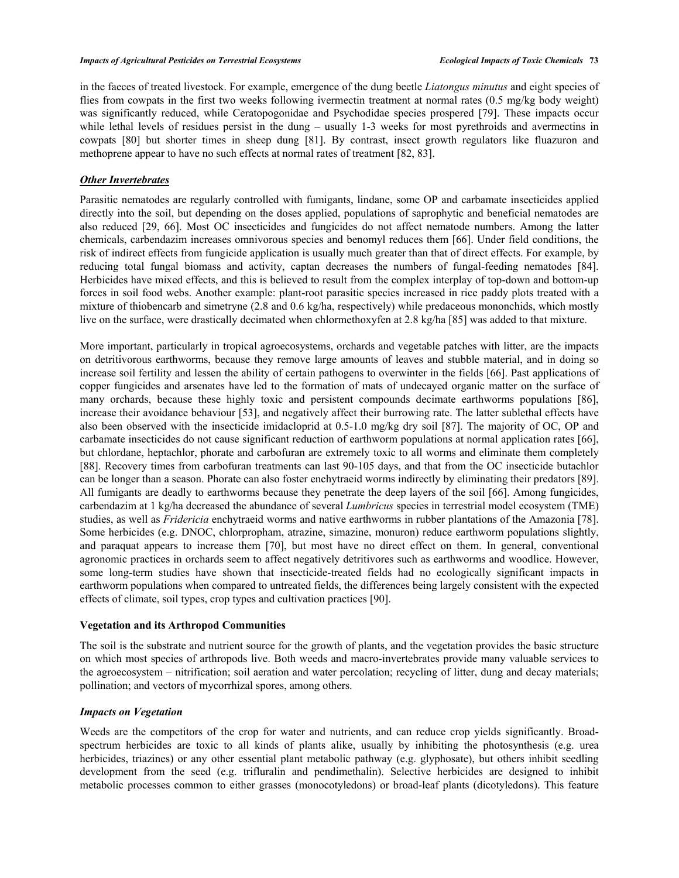in the faeces of treated livestock. For example, emergence of the dung beetle *Liatongus minutus* and eight species of flies from cowpats in the first two weeks following ivermectin treatment at normal rates (0.5 mg/kg body weight) was significantly reduced, while Ceratopogonidae and Psychodidae species prospered [79]. These impacts occur while lethal levels of residues persist in the dung – usually 1-3 weeks for most pyrethroids and avermectins in cowpats [80] but shorter times in sheep dung [81]. By contrast, insect growth regulators like fluazuron and methoprene appear to have no such effects at normal rates of treatment [82, 83].

## *Other Invertebrates*

Parasitic nematodes are regularly controlled with fumigants, lindane, some OP and carbamate insecticides applied directly into the soil, but depending on the doses applied, populations of saprophytic and beneficial nematodes are also reduced [29, 66]. Most OC insecticides and fungicides do not affect nematode numbers. Among the latter chemicals, carbendazim increases omnivorous species and benomyl reduces them [66]. Under field conditions, the risk of indirect effects from fungicide application is usually much greater than that of direct effects. For example, by reducing total fungal biomass and activity, captan decreases the numbers of fungal-feeding nematodes [84]. Herbicides have mixed effects, and this is believed to result from the complex interplay of top-down and bottom-up forces in soil food webs. Another example: plant-root parasitic species increased in rice paddy plots treated with a mixture of thiobencarb and simetryne (2.8 and 0.6 kg/ha, respectively) while predaceous mononchids, which mostly live on the surface, were drastically decimated when chlormethoxyfen at 2.8 kg/ha [85] was added to that mixture.

More important, particularly in tropical agroecosystems, orchards and vegetable patches with litter, are the impacts on detritivorous earthworms, because they remove large amounts of leaves and stubble material, and in doing so increase soil fertility and lessen the ability of certain pathogens to overwinter in the fields [66]. Past applications of copper fungicides and arsenates have led to the formation of mats of undecayed organic matter on the surface of many orchards, because these highly toxic and persistent compounds decimate earthworms populations [86], increase their avoidance behaviour [53], and negatively affect their burrowing rate. The latter sublethal effects have also been observed with the insecticide imidacloprid at 0.5-1.0 mg/kg dry soil [87]. The majority of OC, OP and carbamate insecticides do not cause significant reduction of earthworm populations at normal application rates [66], but chlordane, heptachlor, phorate and carbofuran are extremely toxic to all worms and eliminate them completely [88]. Recovery times from carbofuran treatments can last 90-105 days, and that from the OC insecticide butachlor can be longer than a season. Phorate can also foster enchytraeid worms indirectly by eliminating their predators [89]. All fumigants are deadly to earthworms because they penetrate the deep layers of the soil [66]. Among fungicides, carbendazim at 1 kg/ha decreased the abundance of several *Lumbricus* species in terrestrial model ecosystem (TME) studies, as well as *Fridericia* enchytraeid worms and native earthworms in rubber plantations of the Amazonia [78]. Some herbicides (e.g. DNOC, chlorpropham, atrazine, simazine, monuron) reduce earthworm populations slightly, and paraquat appears to increase them [70], but most have no direct effect on them. In general, conventional agronomic practices in orchards seem to affect negatively detritivores such as earthworms and woodlice. However, some long-term studies have shown that insecticide-treated fields had no ecologically significant impacts in earthworm populations when compared to untreated fields, the differences being largely consistent with the expected effects of climate, soil types, crop types and cultivation practices [90].

#### **Vegetation and its Arthropod Communities**

The soil is the substrate and nutrient source for the growth of plants, and the vegetation provides the basic structure on which most species of arthropods live. Both weeds and macro-invertebrates provide many valuable services to the agroecosystem – nitrification; soil aeration and water percolation; recycling of litter, dung and decay materials; pollination; and vectors of mycorrhizal spores, among others.

## *Impacts on Vegetation*

Weeds are the competitors of the crop for water and nutrients, and can reduce crop yields significantly. Broadspectrum herbicides are toxic to all kinds of plants alike, usually by inhibiting the photosynthesis (e.g. urea herbicides, triazines) or any other essential plant metabolic pathway (e.g. glyphosate), but others inhibit seedling development from the seed (e.g. trifluralin and pendimethalin). Selective herbicides are designed to inhibit metabolic processes common to either grasses (monocotyledons) or broad-leaf plants (dicotyledons). This feature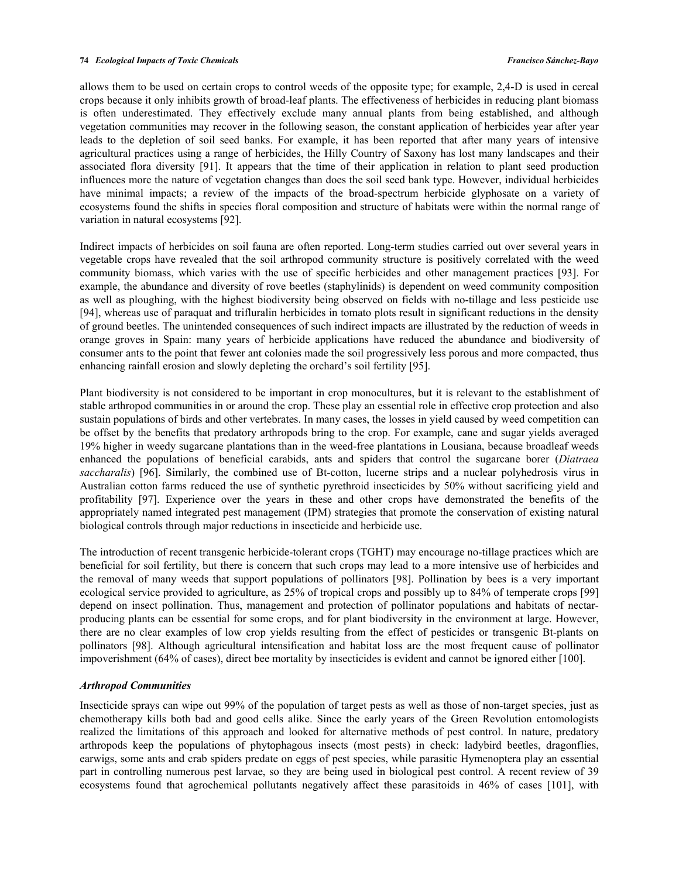allows them to be used on certain crops to control weeds of the opposite type; for example, 2,4-D is used in cereal crops because it only inhibits growth of broad-leaf plants. The effectiveness of herbicides in reducing plant biomass is often underestimated. They effectively exclude many annual plants from being established, and although vegetation communities may recover in the following season, the constant application of herbicides year after year leads to the depletion of soil seed banks. For example, it has been reported that after many years of intensive agricultural practices using a range of herbicides, the Hilly Country of Saxony has lost many landscapes and their associated flora diversity [91]. It appears that the time of their application in relation to plant seed production influences more the nature of vegetation changes than does the soil seed bank type. However, individual herbicides have minimal impacts; a review of the impacts of the broad-spectrum herbicide glyphosate on a variety of ecosystems found the shifts in species floral composition and structure of habitats were within the normal range of variation in natural ecosystems [92].

Indirect impacts of herbicides on soil fauna are often reported. Long-term studies carried out over several years in vegetable crops have revealed that the soil arthropod community structure is positively correlated with the weed community biomass, which varies with the use of specific herbicides and other management practices [93]. For example, the abundance and diversity of rove beetles (staphylinids) is dependent on weed community composition as well as ploughing, with the highest biodiversity being observed on fields with no-tillage and less pesticide use [94], whereas use of paraquat and trifluralin herbicides in tomato plots result in significant reductions in the density of ground beetles. The unintended consequences of such indirect impacts are illustrated by the reduction of weeds in orange groves in Spain: many years of herbicide applications have reduced the abundance and biodiversity of consumer ants to the point that fewer ant colonies made the soil progressively less porous and more compacted, thus enhancing rainfall erosion and slowly depleting the orchard's soil fertility [95].

Plant biodiversity is not considered to be important in crop monocultures, but it is relevant to the establishment of stable arthropod communities in or around the crop. These play an essential role in effective crop protection and also sustain populations of birds and other vertebrates. In many cases, the losses in yield caused by weed competition can be offset by the benefits that predatory arthropods bring to the crop. For example, cane and sugar yields averaged 19% higher in weedy sugarcane plantations than in the weed-free plantations in Lousiana, because broadleaf weeds enhanced the populations of beneficial carabids, ants and spiders that control the sugarcane borer (*Diatraea saccharalis*) [96]. Similarly, the combined use of Bt-cotton, lucerne strips and a nuclear polyhedrosis virus in Australian cotton farms reduced the use of synthetic pyrethroid insecticides by 50% without sacrificing yield and profitability [97]. Experience over the years in these and other crops have demonstrated the benefits of the appropriately named integrated pest management (IPM) strategies that promote the conservation of existing natural biological controls through major reductions in insecticide and herbicide use.

The introduction of recent transgenic herbicide-tolerant crops (TGHT) may encourage no-tillage practices which are beneficial for soil fertility, but there is concern that such crops may lead to a more intensive use of herbicides and the removal of many weeds that support populations of pollinators [98]. Pollination by bees is a very important ecological service provided to agriculture, as 25% of tropical crops and possibly up to 84% of temperate crops [99] depend on insect pollination. Thus, management and protection of pollinator populations and habitats of nectarproducing plants can be essential for some crops, and for plant biodiversity in the environment at large. However, there are no clear examples of low crop yields resulting from the effect of pesticides or transgenic Bt-plants on pollinators [98]. Although agricultural intensification and habitat loss are the most frequent cause of pollinator impoverishment (64% of cases), direct bee mortality by insecticides is evident and cannot be ignored either [100].

#### *Arthropod Communities*

Insecticide sprays can wipe out 99% of the population of target pests as well as those of non-target species, just as chemotherapy kills both bad and good cells alike. Since the early years of the Green Revolution entomologists realized the limitations of this approach and looked for alternative methods of pest control. In nature, predatory arthropods keep the populations of phytophagous insects (most pests) in check: ladybird beetles, dragonflies, earwigs, some ants and crab spiders predate on eggs of pest species, while parasitic Hymenoptera play an essential part in controlling numerous pest larvae, so they are being used in biological pest control. A recent review of 39 ecosystems found that agrochemical pollutants negatively affect these parasitoids in 46% of cases [101], with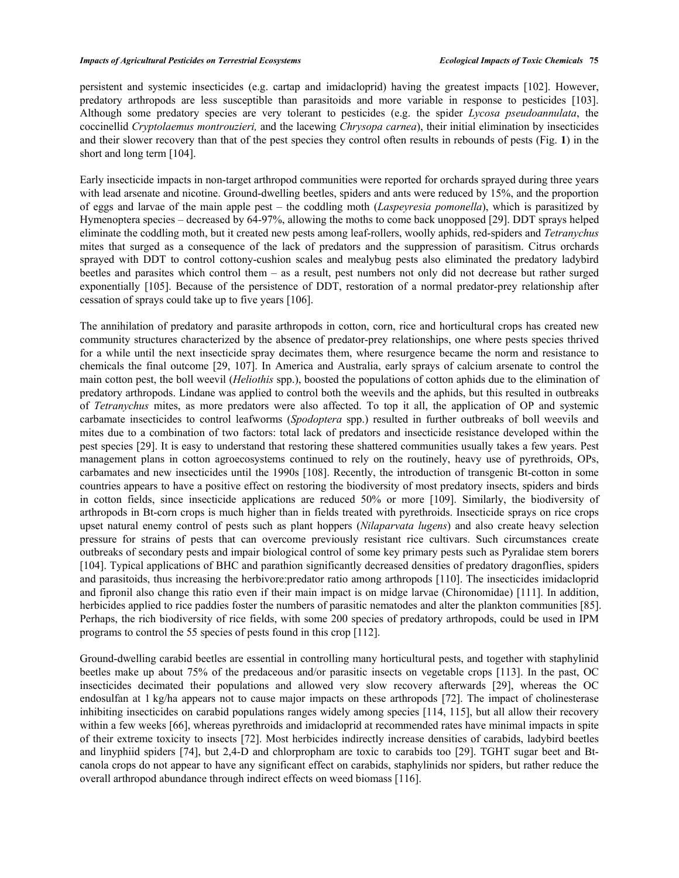persistent and systemic insecticides (e.g. cartap and imidacloprid) having the greatest impacts [102]. However, predatory arthropods are less susceptible than parasitoids and more variable in response to pesticides [103]. Although some predatory species are very tolerant to pesticides (e.g. the spider *Lycosa pseudoannulata*, the coccinellid *Cryptolaemus montrouzieri,* and the lacewing *Chrysopa carnea*), their initial elimination by insecticides and their slower recovery than that of the pest species they control often results in rebounds of pests (Fig. **1**) in the short and long term [104].

Early insecticide impacts in non-target arthropod communities were reported for orchards sprayed during three years with lead arsenate and nicotine. Ground-dwelling beetles, spiders and ants were reduced by 15%, and the proportion of eggs and larvae of the main apple pest – the coddling moth (*Laspeyresia pomonella*), which is parasitized by Hymenoptera species – decreased by 64-97%, allowing the moths to come back unopposed [29]. DDT sprays helped eliminate the coddling moth, but it created new pests among leaf-rollers, woolly aphids, red-spiders and *Tetranychus* mites that surged as a consequence of the lack of predators and the suppression of parasitism. Citrus orchards sprayed with DDT to control cottony-cushion scales and mealybug pests also eliminated the predatory ladybird beetles and parasites which control them – as a result, pest numbers not only did not decrease but rather surged exponentially [105]. Because of the persistence of DDT, restoration of a normal predator-prey relationship after cessation of sprays could take up to five years [106].

The annihilation of predatory and parasite arthropods in cotton, corn, rice and horticultural crops has created new community structures characterized by the absence of predator-prey relationships, one where pests species thrived for a while until the next insecticide spray decimates them, where resurgence became the norm and resistance to chemicals the final outcome [29, 107]. In America and Australia, early sprays of calcium arsenate to control the main cotton pest, the boll weevil (*Heliothis* spp.), boosted the populations of cotton aphids due to the elimination of predatory arthropods. Lindane was applied to control both the weevils and the aphids, but this resulted in outbreaks of *Tetranychus* mites, as more predators were also affected. To top it all, the application of OP and systemic carbamate insecticides to control leafworms (*Spodoptera* spp.) resulted in further outbreaks of boll weevils and mites due to a combination of two factors: total lack of predators and insecticide resistance developed within the pest species [29]. It is easy to understand that restoring these shattered communities usually takes a few years. Pest management plans in cotton agroecosystems continued to rely on the routinely, heavy use of pyrethroids, OPs, carbamates and new insecticides until the 1990s [108]. Recently, the introduction of transgenic Bt-cotton in some countries appears to have a positive effect on restoring the biodiversity of most predatory insects, spiders and birds in cotton fields, since insecticide applications are reduced 50% or more [109]. Similarly, the biodiversity of arthropods in Bt-corn crops is much higher than in fields treated with pyrethroids. Insecticide sprays on rice crops upset natural enemy control of pests such as plant hoppers (*Nilaparvata lugens*) and also create heavy selection pressure for strains of pests that can overcome previously resistant rice cultivars. Such circumstances create outbreaks of secondary pests and impair biological control of some key primary pests such as Pyralidae stem borers [104]. Typical applications of BHC and parathion significantly decreased densities of predatory dragonflies, spiders and parasitoids, thus increasing the herbivore:predator ratio among arthropods [110]. The insecticides imidacloprid and fipronil also change this ratio even if their main impact is on midge larvae (Chironomidae) [111]. In addition, herbicides applied to rice paddies foster the numbers of parasitic nematodes and alter the plankton communities [85]. Perhaps, the rich biodiversity of rice fields, with some 200 species of predatory arthropods, could be used in IPM programs to control the 55 species of pests found in this crop [112].

Ground-dwelling carabid beetles are essential in controlling many horticultural pests, and together with staphylinid beetles make up about 75% of the predaceous and/or parasitic insects on vegetable crops [113]. In the past, OC insecticides decimated their populations and allowed very slow recovery afterwards [29], whereas the OC endosulfan at 1 kg/ha appears not to cause major impacts on these arthropods [72]. The impact of cholinesterase inhibiting insecticides on carabid populations ranges widely among species [114, 115], but all allow their recovery within a few weeks [66], whereas pyrethroids and imidacloprid at recommended rates have minimal impacts in spite of their extreme toxicity to insects [72]. Most herbicides indirectly increase densities of carabids, ladybird beetles and linyphiid spiders [74], but 2,4-D and chlorpropham are toxic to carabids too [29]. TGHT sugar beet and Btcanola crops do not appear to have any significant effect on carabids, staphylinids nor spiders, but rather reduce the overall arthropod abundance through indirect effects on weed biomass [116].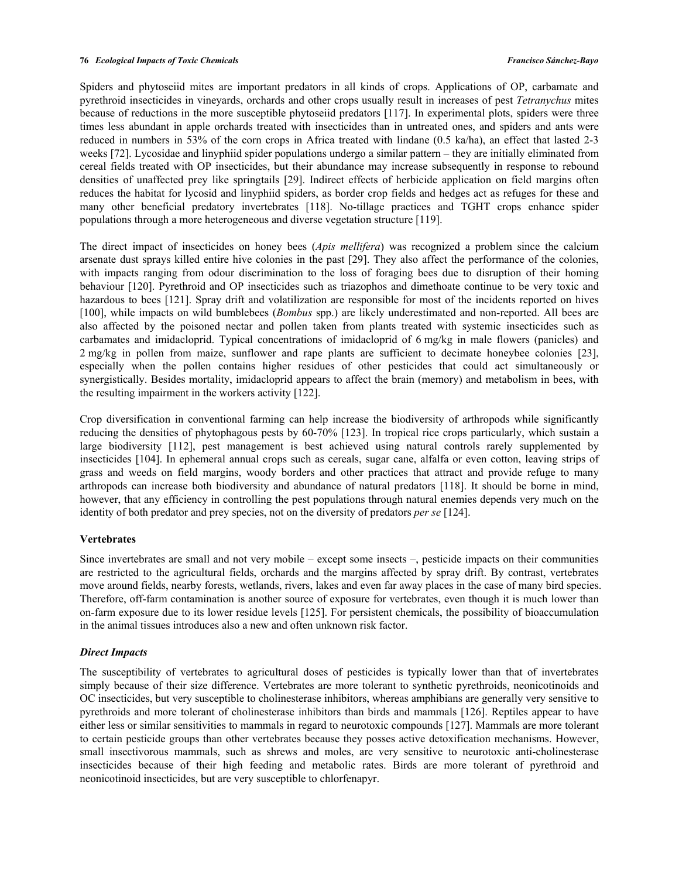Spiders and phytoseiid mites are important predators in all kinds of crops. Applications of OP, carbamate and pyrethroid insecticides in vineyards, orchards and other crops usually result in increases of pest *Tetranychus* mites because of reductions in the more susceptible phytoseiid predators [117]. In experimental plots, spiders were three times less abundant in apple orchards treated with insecticides than in untreated ones, and spiders and ants were reduced in numbers in 53% of the corn crops in Africa treated with lindane (0.5 ka/ha), an effect that lasted 2-3 weeks [72]. Lycosidae and linyphiid spider populations undergo a similar pattern – they are initially eliminated from cereal fields treated with OP insecticides, but their abundance may increase subsequently in response to rebound densities of unaffected prey like springtails [29]. Indirect effects of herbicide application on field margins often reduces the habitat for lycosid and linyphiid spiders, as border crop fields and hedges act as refuges for these and many other beneficial predatory invertebrates [118]. No-tillage practices and TGHT crops enhance spider populations through a more heterogeneous and diverse vegetation structure [119].

The direct impact of insecticides on honey bees (*Apis mellifera*) was recognized a problem since the calcium arsenate dust sprays killed entire hive colonies in the past [29]. They also affect the performance of the colonies, with impacts ranging from odour discrimination to the loss of foraging bees due to disruption of their homing behaviour [120]. Pyrethroid and OP insecticides such as triazophos and dimethoate continue to be very toxic and hazardous to bees [121]. Spray drift and volatilization are responsible for most of the incidents reported on hives [100], while impacts on wild bumblebees (*Bombus* spp.) are likely underestimated and non-reported. All bees are also affected by the poisoned nectar and pollen taken from plants treated with systemic insecticides such as carbamates and imidacloprid. Typical concentrations of imidacloprid of 6 mg/kg in male flowers (panicles) and 2 mg/kg in pollen from maize, sunflower and rape plants are sufficient to decimate honeybee colonies [23], especially when the pollen contains higher residues of other pesticides that could act simultaneously or synergistically. Besides mortality, imidacloprid appears to affect the brain (memory) and metabolism in bees, with the resulting impairment in the workers activity [122].

Crop diversification in conventional farming can help increase the biodiversity of arthropods while significantly reducing the densities of phytophagous pests by 60-70% [123]. In tropical rice crops particularly, which sustain a large biodiversity [112], pest management is best achieved using natural controls rarely supplemented by insecticides [104]. In ephemeral annual crops such as cereals, sugar cane, alfalfa or even cotton, leaving strips of grass and weeds on field margins, woody borders and other practices that attract and provide refuge to many arthropods can increase both biodiversity and abundance of natural predators [118]. It should be borne in mind, however, that any efficiency in controlling the pest populations through natural enemies depends very much on the identity of both predator and prey species, not on the diversity of predators *per se* [124].

#### **Vertebrates**

Since invertebrates are small and not very mobile – except some insects –, pesticide impacts on their communities are restricted to the agricultural fields, orchards and the margins affected by spray drift. By contrast, vertebrates move around fields, nearby forests, wetlands, rivers, lakes and even far away places in the case of many bird species. Therefore, off-farm contamination is another source of exposure for vertebrates, even though it is much lower than on-farm exposure due to its lower residue levels [125]. For persistent chemicals, the possibility of bioaccumulation in the animal tissues introduces also a new and often unknown risk factor.

#### *Direct Impacts*

The susceptibility of vertebrates to agricultural doses of pesticides is typically lower than that of invertebrates simply because of their size difference. Vertebrates are more tolerant to synthetic pyrethroids, neonicotinoids and OC insecticides, but very susceptible to cholinesterase inhibitors, whereas amphibians are generally very sensitive to pyrethroids and more tolerant of cholinesterase inhibitors than birds and mammals [126]. Reptiles appear to have either less or similar sensitivities to mammals in regard to neurotoxic compounds [127]. Mammals are more tolerant to certain pesticide groups than other vertebrates because they posses active detoxification mechanisms. However, small insectivorous mammals, such as shrews and moles, are very sensitive to neurotoxic anti-cholinesterase insecticides because of their high feeding and metabolic rates. Birds are more tolerant of pyrethroid and neonicotinoid insecticides, but are very susceptible to chlorfenapyr.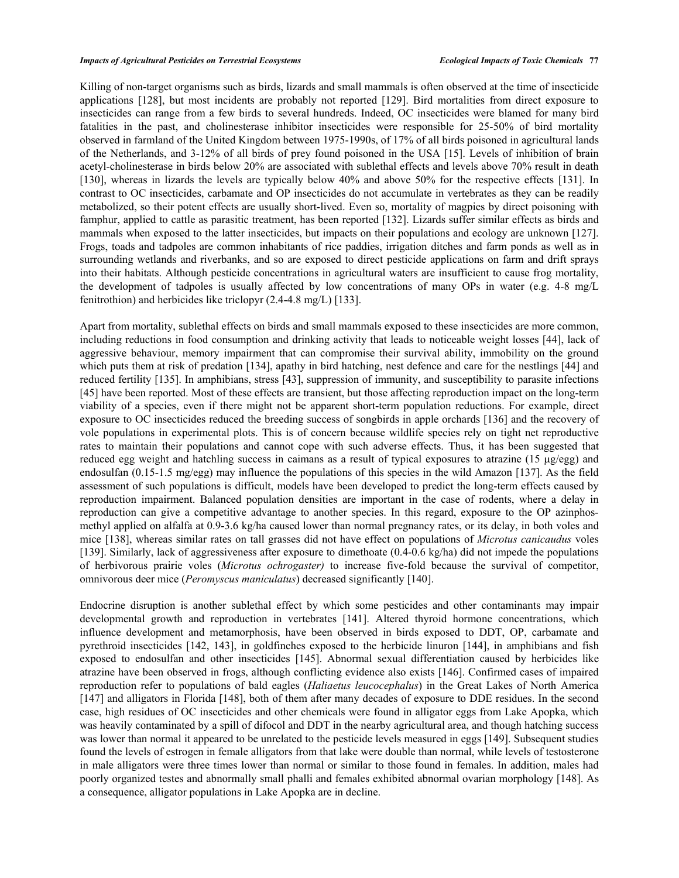Killing of non-target organisms such as birds, lizards and small mammals is often observed at the time of insecticide applications [128], but most incidents are probably not reported [129]. Bird mortalities from direct exposure to insecticides can range from a few birds to several hundreds. Indeed, OC insecticides were blamed for many bird fatalities in the past, and cholinesterase inhibitor insecticides were responsible for 25-50% of bird mortality observed in farmland of the United Kingdom between 1975-1990s, of 17% of all birds poisoned in agricultural lands of the Netherlands, and 3-12% of all birds of prey found poisoned in the USA [15]. Levels of inhibition of brain acetyl-cholinesterase in birds below 20% are associated with sublethal effects and levels above 70% result in death [130], whereas in lizards the levels are typically below 40% and above 50% for the respective effects [131]. In contrast to OC insecticides, carbamate and OP insecticides do not accumulate in vertebrates as they can be readily metabolized, so their potent effects are usually short-lived. Even so, mortality of magpies by direct poisoning with famphur, applied to cattle as parasitic treatment, has been reported [132]. Lizards suffer similar effects as birds and mammals when exposed to the latter insecticides, but impacts on their populations and ecology are unknown [127]. Frogs, toads and tadpoles are common inhabitants of rice paddies, irrigation ditches and farm ponds as well as in surrounding wetlands and riverbanks, and so are exposed to direct pesticide applications on farm and drift sprays into their habitats. Although pesticide concentrations in agricultural waters are insufficient to cause frog mortality, the development of tadpoles is usually affected by low concentrations of many OPs in water (e.g. 4-8 mg/L fenitrothion) and herbicides like triclopyr (2.4-4.8 mg/L) [133].

Apart from mortality, sublethal effects on birds and small mammals exposed to these insecticides are more common, including reductions in food consumption and drinking activity that leads to noticeable weight losses [44], lack of aggressive behaviour, memory impairment that can compromise their survival ability, immobility on the ground which puts them at risk of predation [134], apathy in bird hatching, nest defence and care for the nestlings [44] and reduced fertility [135]. In amphibians, stress [43], suppression of immunity, and susceptibility to parasite infections [45] have been reported. Most of these effects are transient, but those affecting reproduction impact on the long-term viability of a species, even if there might not be apparent short-term population reductions. For example, direct exposure to OC insecticides reduced the breeding success of songbirds in apple orchards [136] and the recovery of vole populations in experimental plots. This is of concern because wildlife species rely on tight net reproductive rates to maintain their populations and cannot cope with such adverse effects. Thus, it has been suggested that reduced egg weight and hatchling success in caimans as a result of typical exposures to atrazine  $(15 \mu g/\text{egg})$  and endosulfan (0.15-1.5 mg/egg) may influence the populations of this species in the wild Amazon [137]. As the field assessment of such populations is difficult, models have been developed to predict the long-term effects caused by reproduction impairment. Balanced population densities are important in the case of rodents, where a delay in reproduction can give a competitive advantage to another species. In this regard, exposure to the OP azinphosmethyl applied on alfalfa at 0.9-3.6 kg/ha caused lower than normal pregnancy rates, or its delay, in both voles and mice [138], whereas similar rates on tall grasses did not have effect on populations of *Microtus canicaudus* voles [139]. Similarly, lack of aggressiveness after exposure to dimethoate (0.4-0.6 kg/ha) did not impede the populations of herbivorous prairie voles (*Microtus ochrogaster)* to increase five-fold because the survival of competitor, omnivorous deer mice (*Peromyscus maniculatus*) decreased significantly [140].

Endocrine disruption is another sublethal effect by which some pesticides and other contaminants may impair developmental growth and reproduction in vertebrates [141]. Altered thyroid hormone concentrations, which influence development and metamorphosis, have been observed in birds exposed to DDT, OP, carbamate and pyrethroid insecticides [142, 143], in goldfinches exposed to the herbicide linuron [144], in amphibians and fish exposed to endosulfan and other insecticides [145]. Abnormal sexual differentiation caused by herbicides like atrazine have been observed in frogs, although conflicting evidence also exists [146]. Confirmed cases of impaired reproduction refer to populations of bald eagles (*Haliaetus leucocephalus*) in the Great Lakes of North America [147] and alligators in Florida [148], both of them after many decades of exposure to DDE residues. In the second case, high residues of OC insecticides and other chemicals were found in alligator eggs from Lake Apopka, which was heavily contaminated by a spill of difocol and DDT in the nearby agricultural area, and though hatching success was lower than normal it appeared to be unrelated to the pesticide levels measured in eggs [149]. Subsequent studies found the levels of estrogen in female alligators from that lake were double than normal, while levels of testosterone in male alligators were three times lower than normal or similar to those found in females. In addition, males had poorly organized testes and abnormally small phalli and females exhibited abnormal ovarian morphology [148]. As a consequence, alligator populations in Lake Apopka are in decline.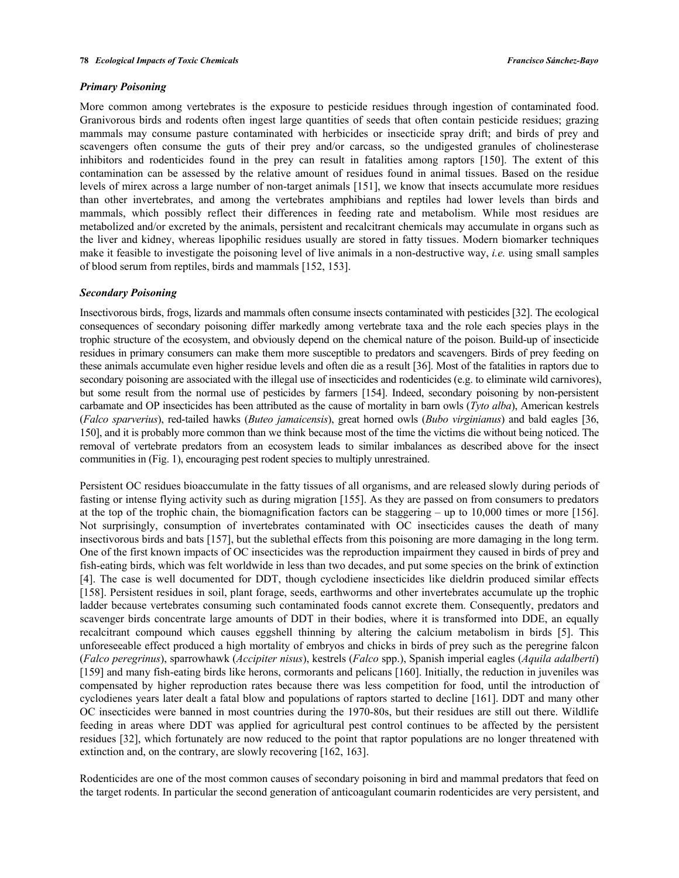#### *Primary Poisoning*

More common among vertebrates is the exposure to pesticide residues through ingestion of contaminated food. Granivorous birds and rodents often ingest large quantities of seeds that often contain pesticide residues; grazing mammals may consume pasture contaminated with herbicides or insecticide spray drift; and birds of prey and scavengers often consume the guts of their prey and/or carcass, so the undigested granules of cholinesterase inhibitors and rodenticides found in the prey can result in fatalities among raptors [150]. The extent of this contamination can be assessed by the relative amount of residues found in animal tissues. Based on the residue levels of mirex across a large number of non-target animals [151], we know that insects accumulate more residues than other invertebrates, and among the vertebrates amphibians and reptiles had lower levels than birds and mammals, which possibly reflect their differences in feeding rate and metabolism. While most residues are metabolized and/or excreted by the animals, persistent and recalcitrant chemicals may accumulate in organs such as the liver and kidney, whereas lipophilic residues usually are stored in fatty tissues. Modern biomarker techniques make it feasible to investigate the poisoning level of live animals in a non-destructive way, *i.e.* using small samples of blood serum from reptiles, birds and mammals [152, 153].

# *Secondary Poisoning*

Insectivorous birds, frogs, lizards and mammals often consume insects contaminated with pesticides [32]. The ecological consequences of secondary poisoning differ markedly among vertebrate taxa and the role each species plays in the trophic structure of the ecosystem, and obviously depend on the chemical nature of the poison. Build-up of insecticide residues in primary consumers can make them more susceptible to predators and scavengers. Birds of prey feeding on these animals accumulate even higher residue levels and often die as a result [36]. Most of the fatalities in raptors due to secondary poisoning are associated with the illegal use of insecticides and rodenticides (e.g. to eliminate wild carnivores), but some result from the normal use of pesticides by farmers [154]. Indeed, secondary poisoning by non-persistent carbamate and OP insecticides has been attributed as the cause of mortality in barn owls (*Tyto alba*), American kestrels (*Falco sparverius*), red-tailed hawks (*Buteo jamaicensis*), great horned owls (*Bubo virginianus*) and bald eagles [36, 150], and it is probably more common than we think because most of the time the victims die without being noticed. The removal of vertebrate predators from an ecosystem leads to similar imbalances as described above for the insect communities in (Fig. 1), encouraging pest rodent species to multiply unrestrained.

Persistent OC residues bioaccumulate in the fatty tissues of all organisms, and are released slowly during periods of fasting or intense flying activity such as during migration [155]. As they are passed on from consumers to predators at the top of the trophic chain, the biomagnification factors can be staggering – up to 10,000 times or more [156]. Not surprisingly, consumption of invertebrates contaminated with OC insecticides causes the death of many insectivorous birds and bats [157], but the sublethal effects from this poisoning are more damaging in the long term. One of the first known impacts of OC insecticides was the reproduction impairment they caused in birds of prey and fish-eating birds, which was felt worldwide in less than two decades, and put some species on the brink of extinction [4]. The case is well documented for DDT, though cyclodiene insecticides like dieldrin produced similar effects [158]. Persistent residues in soil, plant forage, seeds, earthworms and other invertebrates accumulate up the trophic ladder because vertebrates consuming such contaminated foods cannot excrete them. Consequently, predators and scavenger birds concentrate large amounts of DDT in their bodies, where it is transformed into DDE, an equally recalcitrant compound which causes eggshell thinning by altering the calcium metabolism in birds [5]. This unforeseeable effect produced a high mortality of embryos and chicks in birds of prey such as the peregrine falcon (*Falco peregrinus*), sparrowhawk (*Accipiter nisus*), kestrels (*Falco* spp.), Spanish imperial eagles (*Aquila adalberti*) [159] and many fish-eating birds like herons, cormorants and pelicans [160]. Initially, the reduction in juveniles was compensated by higher reproduction rates because there was less competition for food, until the introduction of cyclodienes years later dealt a fatal blow and populations of raptors started to decline [161]. DDT and many other OC insecticides were banned in most countries during the 1970-80s, but their residues are still out there. Wildlife feeding in areas where DDT was applied for agricultural pest control continues to be affected by the persistent residues [32], which fortunately are now reduced to the point that raptor populations are no longer threatened with extinction and, on the contrary, are slowly recovering [162, 163].

Rodenticides are one of the most common causes of secondary poisoning in bird and mammal predators that feed on the target rodents. In particular the second generation of anticoagulant coumarin rodenticides are very persistent, and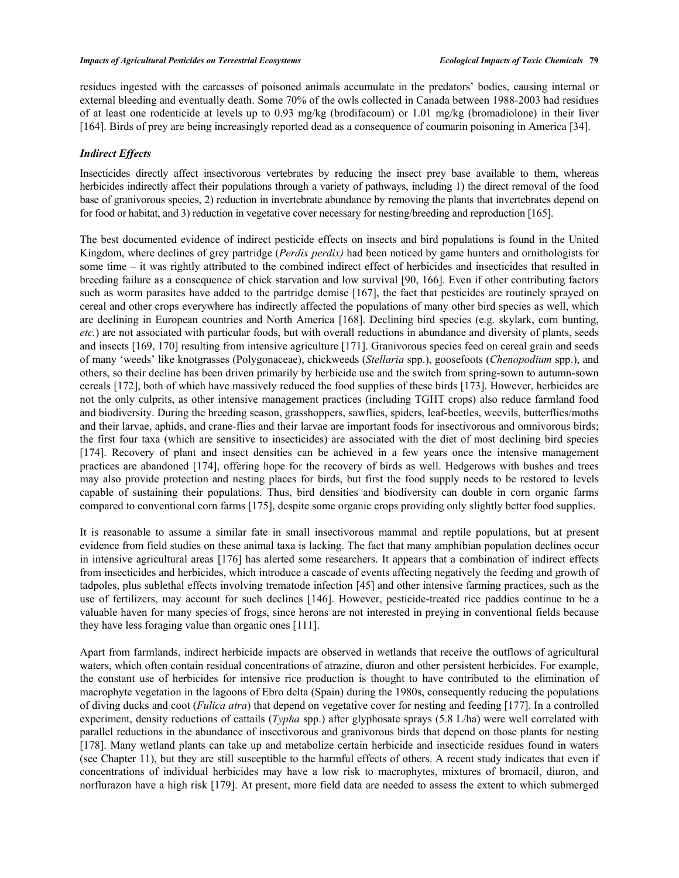residues ingested with the carcasses of poisoned animals accumulate in the predators' bodies, causing internal or external bleeding and eventually death. Some 70% of the owls collected in Canada between 1988-2003 had residues of at least one rodenticide at levels up to 0.93 mg/kg (brodifacoum) or 1.01 mg/kg (bromadiolone) in their liver [164]. Birds of prey are being increasingly reported dead as a consequence of coumarin poisoning in America [34].

# *Indirect Effects*

Insecticides directly affect insectivorous vertebrates by reducing the insect prey base available to them, whereas herbicides indirectly affect their populations through a variety of pathways, including 1) the direct removal of the food base of granivorous species, 2) reduction in invertebrate abundance by removing the plants that invertebrates depend on for food or habitat, and 3) reduction in vegetative cover necessary for nesting/breeding and reproduction [165].

The best documented evidence of indirect pesticide effects on insects and bird populations is found in the United Kingdom, where declines of grey partridge (*Perdix perdix)* had been noticed by game hunters and ornithologists for some time – it was rightly attributed to the combined indirect effect of herbicides and insecticides that resulted in breeding failure as a consequence of chick starvation and low survival [90, 166]. Even if other contributing factors such as worm parasites have added to the partridge demise [167], the fact that pesticides are routinely sprayed on cereal and other crops everywhere has indirectly affected the populations of many other bird species as well, which are declining in European countries and North America [168]. Declining bird species (e.g. skylark, corn bunting, *etc.*) are not associated with particular foods, but with overall reductions in abundance and diversity of plants, seeds and insects [169, 170] resulting from intensive agriculture [171]. Granivorous species feed on cereal grain and seeds of many 'weeds' like knotgrasses (Polygonaceae), chickweeds (*Stellaria* spp.), goosefoots (*Chenopodium* spp.), and others, so their decline has been driven primarily by herbicide use and the switch from spring-sown to autumn-sown cereals [172], both of which have massively reduced the food supplies of these birds [173]. However, herbicides are not the only culprits, as other intensive management practices (including TGHT crops) also reduce farmland food and biodiversity. During the breeding season, grasshoppers, sawflies, spiders, leaf-beetles, weevils, butterflies/moths and their larvae, aphids, and crane-flies and their larvae are important foods for insectivorous and omnivorous birds; the first four taxa (which are sensitive to insecticides) are associated with the diet of most declining bird species [174]. Recovery of plant and insect densities can be achieved in a few years once the intensive management practices are abandoned [174], offering hope for the recovery of birds as well. Hedgerows with bushes and trees may also provide protection and nesting places for birds, but first the food supply needs to be restored to levels capable of sustaining their populations. Thus, bird densities and biodiversity can double in corn organic farms compared to conventional corn farms [175], despite some organic crops providing only slightly better food supplies.

It is reasonable to assume a similar fate in small insectivorous mammal and reptile populations, but at present evidence from field studies on these animal taxa is lacking. The fact that many amphibian population declines occur in intensive agricultural areas [176] has alerted some researchers. It appears that a combination of indirect effects from insecticides and herbicides, which introduce a cascade of events affecting negatively the feeding and growth of tadpoles, plus sublethal effects involving trematode infection [45] and other intensive farming practices, such as the use of fertilizers, may account for such declines [146]. However, pesticide-treated rice paddies continue to be a valuable haven for many species of frogs, since herons are not interested in preying in conventional fields because they have less foraging value than organic ones [111].

Apart from farmlands, indirect herbicide impacts are observed in wetlands that receive the outflows of agricultural waters, which often contain residual concentrations of atrazine, diuron and other persistent herbicides. For example, the constant use of herbicides for intensive rice production is thought to have contributed to the elimination of macrophyte vegetation in the lagoons of Ebro delta (Spain) during the 1980s, consequently reducing the populations of diving ducks and coot (*Fulica atra*) that depend on vegetative cover for nesting and feeding [177]. In a controlled experiment, density reductions of cattails (*Typha* spp.) after glyphosate sprays (5.8 L/ha) were well correlated with parallel reductions in the abundance of insectivorous and granivorous birds that depend on those plants for nesting [178]. Many wetland plants can take up and metabolize certain herbicide and insecticide residues found in waters (see Chapter 11), but they are still susceptible to the harmful effects of others. A recent study indicates that even if concentrations of individual herbicides may have a low risk to macrophytes, mixtures of bromacil, diuron, and norflurazon have a high risk [179]. At present, more field data are needed to assess the extent to which submerged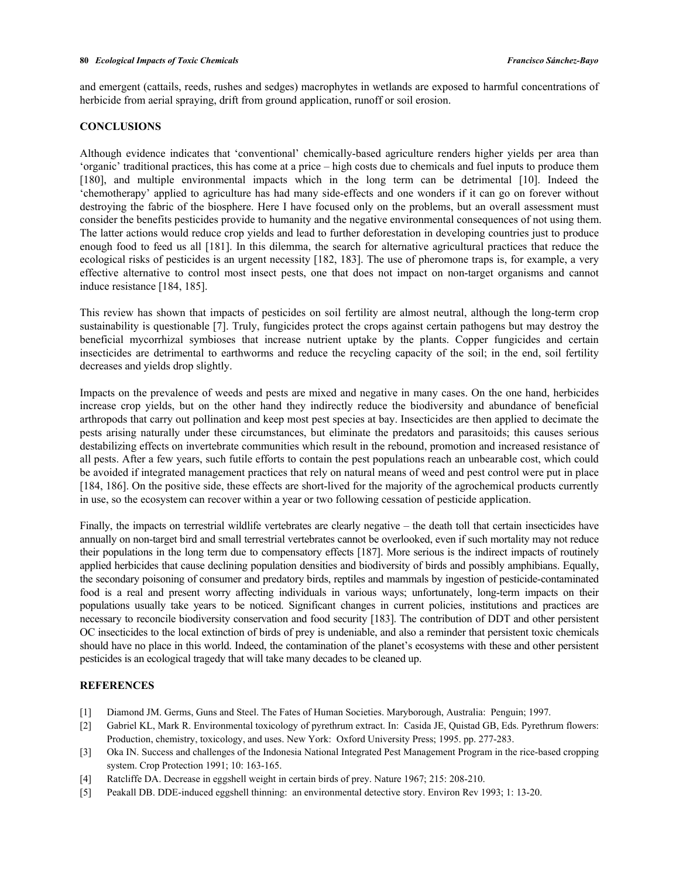and emergent (cattails, reeds, rushes and sedges) macrophytes in wetlands are exposed to harmful concentrations of herbicide from aerial spraying, drift from ground application, runoff or soil erosion.

#### **CONCLUSIONS**

Although evidence indicates that 'conventional' chemically-based agriculture renders higher yields per area than 'organic' traditional practices, this has come at a price – high costs due to chemicals and fuel inputs to produce them [180], and multiple environmental impacts which in the long term can be detrimental [10]. Indeed the 'chemotherapy' applied to agriculture has had many side-effects and one wonders if it can go on forever without destroying the fabric of the biosphere. Here I have focused only on the problems, but an overall assessment must consider the benefits pesticides provide to humanity and the negative environmental consequences of not using them. The latter actions would reduce crop yields and lead to further deforestation in developing countries just to produce enough food to feed us all [181]. In this dilemma, the search for alternative agricultural practices that reduce the ecological risks of pesticides is an urgent necessity [182, 183]. The use of pheromone traps is, for example, a very effective alternative to control most insect pests, one that does not impact on non-target organisms and cannot induce resistance [184, 185].

This review has shown that impacts of pesticides on soil fertility are almost neutral, although the long-term crop sustainability is questionable [7]. Truly, fungicides protect the crops against certain pathogens but may destroy the beneficial mycorrhizal symbioses that increase nutrient uptake by the plants. Copper fungicides and certain insecticides are detrimental to earthworms and reduce the recycling capacity of the soil; in the end, soil fertility decreases and yields drop slightly.

Impacts on the prevalence of weeds and pests are mixed and negative in many cases. On the one hand, herbicides increase crop yields, but on the other hand they indirectly reduce the biodiversity and abundance of beneficial arthropods that carry out pollination and keep most pest species at bay. Insecticides are then applied to decimate the pests arising naturally under these circumstances, but eliminate the predators and parasitoids; this causes serious destabilizing effects on invertebrate communities which result in the rebound, promotion and increased resistance of all pests. After a few years, such futile efforts to contain the pest populations reach an unbearable cost, which could be avoided if integrated management practices that rely on natural means of weed and pest control were put in place [184, 186]. On the positive side, these effects are short-lived for the majority of the agrochemical products currently in use, so the ecosystem can recover within a year or two following cessation of pesticide application.

Finally, the impacts on terrestrial wildlife vertebrates are clearly negative – the death toll that certain insecticides have annually on non-target bird and small terrestrial vertebrates cannot be overlooked, even if such mortality may not reduce their populations in the long term due to compensatory effects [187]. More serious is the indirect impacts of routinely applied herbicides that cause declining population densities and biodiversity of birds and possibly amphibians. Equally, the secondary poisoning of consumer and predatory birds, reptiles and mammals by ingestion of pesticide-contaminated food is a real and present worry affecting individuals in various ways; unfortunately, long-term impacts on their populations usually take years to be noticed. Significant changes in current policies, institutions and practices are necessary to reconcile biodiversity conservation and food security [183]. The contribution of DDT and other persistent OC insecticides to the local extinction of birds of prey is undeniable, and also a reminder that persistent toxic chemicals should have no place in this world. Indeed, the contamination of the planet's ecosystems with these and other persistent pesticides is an ecological tragedy that will take many decades to be cleaned up.

# **REFERENCES**

- [1] Diamond JM. Germs, Guns and Steel. The Fates of Human Societies. Maryborough, Australia: Penguin; 1997.
- [2] Gabriel KL, Mark R. Environmental toxicology of pyrethrum extract. In: Casida JE, Quistad GB, Eds. Pyrethrum flowers: Production, chemistry, toxicology, and uses. New York: Oxford University Press; 1995. pp. 277-283.
- [3] Oka IN. Success and challenges of the Indonesia National Integrated Pest Management Program in the rice-based cropping system. Crop Protection 1991; 10: 163-165.
- [4] Ratcliffe DA. Decrease in eggshell weight in certain birds of prey. Nature 1967; 215: 208-210.
- [5] Peakall DB. DDE-induced eggshell thinning: an environmental detective story. Environ Rev 1993; 1: 13-20.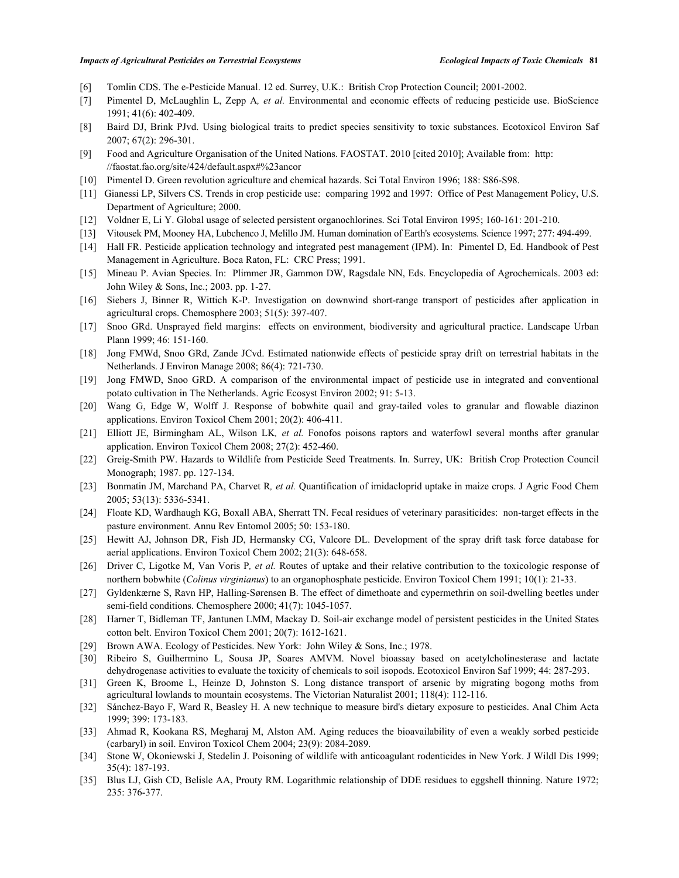- [6] Tomlin CDS. The e-Pesticide Manual. 12 ed. Surrey, U.K.: British Crop Protection Council; 2001-2002.
- [7] Pimentel D, McLaughlin L, Zepp A*, et al.* Environmental and economic effects of reducing pesticide use. BioScience 1991; 41(6): 402-409.
- [8] Baird DJ, Brink PJvd. Using biological traits to predict species sensitivity to toxic substances. Ecotoxicol Environ Saf 2007; 67(2): 296-301.
- [9] Food and Agriculture Organisation of the United Nations. FAOSTAT. 2010 [cited 2010]; Available from: http: //faostat.fao.org/site/424/default.aspx#%23ancor
- [10] Pimentel D. Green revolution agriculture and chemical hazards. Sci Total Environ 1996; 188: S86-S98.
- [11] Gianessi LP, Silvers CS. Trends in crop pesticide use: comparing 1992 and 1997: Office of Pest Management Policy, U.S. Department of Agriculture; 2000.
- [12] Voldner E, Li Y. Global usage of selected persistent organochlorines. Sci Total Environ 1995; 160-161: 201-210.
- [13] Vitousek PM, Mooney HA, Lubchenco J, Melillo JM. Human domination of Earth's ecosystems. Science 1997; 277: 494-499.
- [14] Hall FR. Pesticide application technology and integrated pest management (IPM). In: Pimentel D, Ed. Handbook of Pest Management in Agriculture. Boca Raton, FL: CRC Press; 1991.
- [15] Mineau P. Avian Species. In: Plimmer JR, Gammon DW, Ragsdale NN, Eds. Encyclopedia of Agrochemicals. 2003 ed: John Wiley & Sons, Inc.; 2003. pp. 1-27.
- [16] Siebers J, Binner R, Wittich K-P. Investigation on downwind short-range transport of pesticides after application in agricultural crops. Chemosphere 2003; 51(5): 397-407.
- [17] Snoo GRd. Unsprayed field margins: effects on environment, biodiversity and agricultural practice. Landscape Urban Plann 1999; 46: 151-160.
- [18] Jong FMWd, Snoo GRd, Zande JCvd. Estimated nationwide effects of pesticide spray drift on terrestrial habitats in the Netherlands. J Environ Manage 2008; 86(4): 721-730.
- [19] Jong FMWD, Snoo GRD. A comparison of the environmental impact of pesticide use in integrated and conventional potato cultivation in The Netherlands. Agric Ecosyst Environ 2002; 91: 5-13.
- [20] Wang G, Edge W, Wolff J. Response of bobwhite quail and gray-tailed voles to granular and flowable diazinon applications. Environ Toxicol Chem 2001; 20(2): 406-411.
- [21] Elliott JE, Birmingham AL, Wilson LK*, et al.* Fonofos poisons raptors and waterfowl several months after granular application. Environ Toxicol Chem 2008; 27(2): 452-460.
- [22] Greig-Smith PW. Hazards to Wildlife from Pesticide Seed Treatments. In. Surrey, UK: British Crop Protection Council Monograph; 1987. pp. 127-134.
- [23] Bonmatin JM, Marchand PA, Charvet R*, et al.* Quantification of imidacloprid uptake in maize crops. J Agric Food Chem 2005; 53(13): 5336-5341.
- [24] Floate KD, Wardhaugh KG, Boxall ABA, Sherratt TN. Fecal residues of veterinary parasiticides: non-target effects in the pasture environment. Annu Rev Entomol 2005; 50: 153-180.
- [25] Hewitt AJ, Johnson DR, Fish JD, Hermansky CG, Valcore DL. Development of the spray drift task force database for aerial applications. Environ Toxicol Chem 2002; 21(3): 648-658.
- [26] Driver C, Ligotke M, Van Voris P*, et al.* Routes of uptake and their relative contribution to the toxicologic response of northern bobwhite (*Colinus virginianus*) to an organophosphate pesticide. Environ Toxicol Chem 1991; 10(1): 21-33.
- [27] Gyldenkærne S, Ravn HP, Halling-Sørensen B. The effect of dimethoate and cypermethrin on soil-dwelling beetles under semi-field conditions. Chemosphere 2000; 41(7): 1045-1057.
- [28] Harner T, Bidleman TF, Jantunen LMM, Mackay D. Soil-air exchange model of persistent pesticides in the United States cotton belt. Environ Toxicol Chem 2001; 20(7): 1612-1621.
- [29] Brown AWA. Ecology of Pesticides. New York: John Wiley & Sons, Inc.; 1978.
- [30] Ribeiro S, Guilhermino L, Sousa JP, Soares AMVM. Novel bioassay based on acetylcholinesterase and lactate dehydrogenase activities to evaluate the toxicity of chemicals to soil isopods. Ecotoxicol Environ Saf 1999; 44: 287-293.
- [31] Green K, Broome L, Heinze D, Johnston S. Long distance transport of arsenic by migrating bogong moths from agricultural lowlands to mountain ecosystems. The Victorian Naturalist 2001; 118(4): 112-116.
- [32] Sánchez-Bayo F, Ward R, Beasley H. A new technique to measure bird's dietary exposure to pesticides. Anal Chim Acta 1999; 399: 173-183.
- [33] Ahmad R, Kookana RS, Megharaj M, Alston AM. Aging reduces the bioavailability of even a weakly sorbed pesticide (carbaryl) in soil. Environ Toxicol Chem 2004; 23(9): 2084-2089.
- [34] Stone W, Okoniewski J, Stedelin J. Poisoning of wildlife with anticoagulant rodenticides in New York. J Wildl Dis 1999; 35(4): 187-193.
- [35] Blus LJ, Gish CD, Belisle AA, Prouty RM. Logarithmic relationship of DDE residues to eggshell thinning. Nature 1972; 235: 376-377.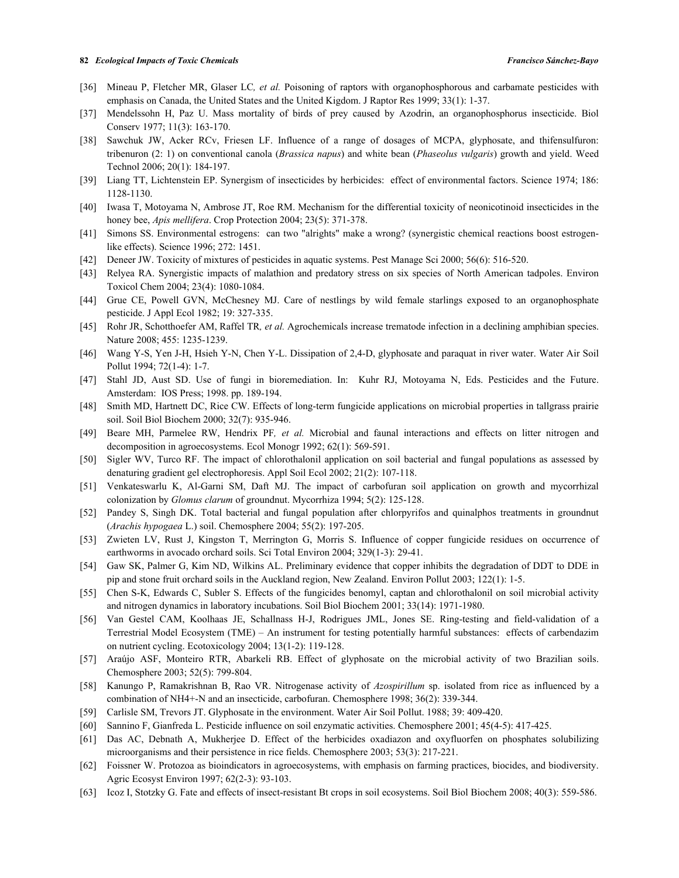- [36] Mineau P, Fletcher MR, Glaser LC*, et al.* Poisoning of raptors with organophosphorous and carbamate pesticides with emphasis on Canada, the United States and the United Kigdom. J Raptor Res 1999; 33(1): 1-37.
- [37] Mendelssohn H, Paz U. Mass mortality of birds of prey caused by Azodrin, an organophosphorus insecticide. Biol Conserv 1977; 11(3): 163-170.
- [38] Sawchuk JW, Acker RCv, Friesen LF. Influence of a range of dosages of MCPA, glyphosate, and thifensulfuron: tribenuron (2: 1) on conventional canola (*Brassica napus*) and white bean (*Phaseolus vulgaris*) growth and yield. Weed Technol 2006; 20(1): 184-197.
- [39] Liang TT, Lichtenstein EP. Synergism of insecticides by herbicides: effect of environmental factors. Science 1974; 186: 1128-1130.
- [40] Iwasa T, Motoyama N, Ambrose JT, Roe RM. Mechanism for the differential toxicity of neonicotinoid insecticides in the honey bee, *Apis mellifera*. Crop Protection 2004; 23(5): 371-378.
- [41] Simons SS. Environmental estrogens: can two "alrights" make a wrong? (synergistic chemical reactions boost estrogenlike effects). Science 1996; 272: 1451.
- [42] Deneer JW. Toxicity of mixtures of pesticides in aquatic systems. Pest Manage Sci 2000; 56(6): 516-520.
- [43] Relyea RA. Synergistic impacts of malathion and predatory stress on six species of North American tadpoles. Environ Toxicol Chem 2004; 23(4): 1080-1084.
- [44] Grue CE, Powell GVN, McChesney MJ. Care of nestlings by wild female starlings exposed to an organophosphate pesticide. J Appl Ecol 1982; 19: 327-335.
- [45] Rohr JR, Schotthoefer AM, Raffel TR*, et al.* Agrochemicals increase trematode infection in a declining amphibian species. Nature 2008; 455: 1235-1239.
- [46] Wang Y-S, Yen J-H, Hsieh Y-N, Chen Y-L. Dissipation of 2,4-D, glyphosate and paraquat in river water. Water Air Soil Pollut 1994; 72(1-4): 1-7.
- [47] Stahl JD, Aust SD. Use of fungi in bioremediation. In: Kuhr RJ, Motoyama N, Eds. Pesticides and the Future. Amsterdam: IOS Press; 1998. pp. 189-194.
- [48] Smith MD, Hartnett DC, Rice CW. Effects of long-term fungicide applications on microbial properties in tallgrass prairie soil. Soil Biol Biochem 2000; 32(7): 935-946.
- [49] Beare MH, Parmelee RW, Hendrix PF*, et al.* Microbial and faunal interactions and effects on litter nitrogen and decomposition in agroecosystems. Ecol Monogr 1992; 62(1): 569-591.
- [50] Sigler WV, Turco RF. The impact of chlorothalonil application on soil bacterial and fungal populations as assessed by denaturing gradient gel electrophoresis. Appl Soil Ecol 2002; 21(2): 107-118.
- [51] Venkateswarlu K, Al-Garni SM, Daft MJ. The impact of carbofuran soil application on growth and mycorrhizal colonization by *Glomus clarum* of groundnut. Mycorrhiza 1994; 5(2): 125-128.
- [52] Pandey S, Singh DK. Total bacterial and fungal population after chlorpyrifos and quinalphos treatments in groundnut (*Arachis hypogaea* L.) soil. Chemosphere 2004; 55(2): 197-205.
- [53] Zwieten LV, Rust J, Kingston T, Merrington G, Morris S. Influence of copper fungicide residues on occurrence of earthworms in avocado orchard soils. Sci Total Environ 2004; 329(1-3): 29-41.
- [54] Gaw SK, Palmer G, Kim ND, Wilkins AL. Preliminary evidence that copper inhibits the degradation of DDT to DDE in pip and stone fruit orchard soils in the Auckland region, New Zealand. Environ Pollut 2003; 122(1): 1-5.
- [55] Chen S-K, Edwards C, Subler S. Effects of the fungicides benomyl, captan and chlorothalonil on soil microbial activity and nitrogen dynamics in laboratory incubations. Soil Biol Biochem 2001; 33(14): 1971-1980.
- [56] Van Gestel CAM, Koolhaas JE, Schallnass H-J, Rodrigues JML, Jones SE. Ring-testing and field-validation of a Terrestrial Model Ecosystem (TME) – An instrument for testing potentially harmful substances: effects of carbendazim on nutrient cycling. Ecotoxicology 2004; 13(1-2): 119-128.
- [57] Araújo ASF, Monteiro RTR, Abarkeli RB. Effect of glyphosate on the microbial activity of two Brazilian soils. Chemosphere 2003; 52(5): 799-804.
- [58] Kanungo P, Ramakrishnan B, Rao VR. Nitrogenase activity of *Azospirillum* sp. isolated from rice as influenced by a combination of NH4+-N and an insecticide, carbofuran. Chemosphere 1998; 36(2): 339-344.
- [59] Carlisle SM, Trevors JT. Glyphosate in the environment. Water Air Soil Pollut. 1988; 39: 409-420.
- [60] Sannino F, Gianfreda L. Pesticide influence on soil enzymatic activities. Chemosphere 2001; 45(4-5): 417-425.
- [61] Das AC, Debnath A, Mukherjee D. Effect of the herbicides oxadiazon and oxyfluorfen on phosphates solubilizing microorganisms and their persistence in rice fields. Chemosphere 2003; 53(3): 217-221.
- [62] Foissner W. Protozoa as bioindicators in agroecosystems, with emphasis on farming practices, biocides, and biodiversity. Agric Ecosyst Environ 1997; 62(2-3): 93-103.
- [63] Icoz I, Stotzky G. Fate and effects of insect-resistant Bt crops in soil ecosystems. Soil Biol Biochem 2008; 40(3): 559-586.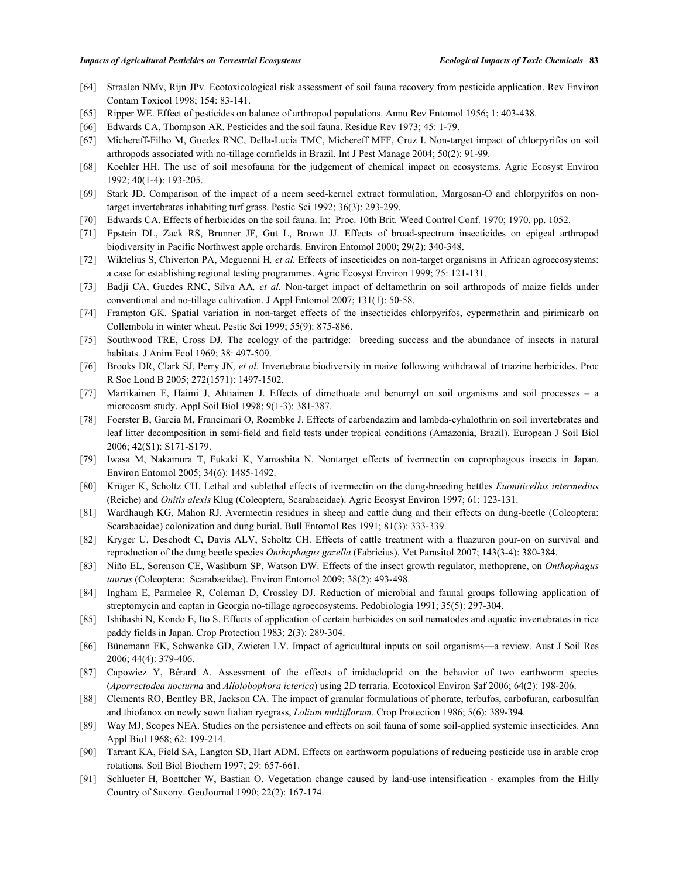- [64] Straalen NMv, Rijn JPv. Ecotoxicological risk assessment of soil fauna recovery from pesticide application. Rev Environ Contam Toxicol 1998; 154: 83-141.
- [65] Ripper WE. Effect of pesticides on balance of arthropod populations. Annu Rev Entomol 1956; 1: 403-438.
- [66] Edwards CA, Thompson AR. Pesticides and the soil fauna. Residue Rev 1973; 45: 1-79.
- [67] Michereff-Filho M, Guedes RNC, Della-Lucia TMC, Michereff MFF, Cruz I. Non-target impact of chlorpyrifos on soil arthropods associated with no-tillage cornfields in Brazil. Int J Pest Manage 2004; 50(2): 91-99.
- [68] Koehler HH. The use of soil mesofauna for the judgement of chemical impact on ecosystems. Agric Ecosyst Environ 1992; 40(1-4): 193-205.
- [69] Stark JD. Comparison of the impact of a neem seed-kernel extract formulation, Margosan-O and chlorpyrifos on nontarget invertebrates inhabiting turf grass. Pestic Sci 1992; 36(3): 293-299.
- [70] Edwards CA. Effects of herbicides on the soil fauna. In: Proc. 10th Brit. Weed Control Conf. 1970; 1970. pp. 1052.
- [71] Epstein DL, Zack RS, Brunner JF, Gut L, Brown JJ. Effects of broad-spectrum insecticides on epigeal arthropod biodiversity in Pacific Northwest apple orchards. Environ Entomol 2000; 29(2): 340-348.
- [72] Wiktelius S, Chiverton PA, Meguenni H*, et al.* Effects of insecticides on non-target organisms in African agroecosystems: a case for establishing regional testing programmes. Agric Ecosyst Environ 1999; 75: 121-131.
- [73] Badji CA, Guedes RNC, Silva AA*, et al.* Non-target impact of deltamethrin on soil arthropods of maize fields under conventional and no-tillage cultivation. J Appl Entomol 2007; 131(1): 50-58.
- [74] Frampton GK. Spatial variation in non-target effects of the insecticides chlorpyrifos, cypermethrin and pirimicarb on Collembola in winter wheat. Pestic Sci 1999; 55(9): 875-886.
- [75] Southwood TRE, Cross DJ. The ecology of the partridge: breeding success and the abundance of insects in natural habitats. J Anim Ecol 1969; 38: 497-509.
- [76] Brooks DR, Clark SJ, Perry JN*, et al.* Invertebrate biodiversity in maize following withdrawal of triazine herbicides. Proc R Soc Lond B 2005; 272(1571): 1497-1502.
- [77] Martikainen E, Haimi J, Ahtiainen J. Effects of dimethoate and benomyl on soil organisms and soil processes a microcosm study. Appl Soil Biol 1998; 9(1-3): 381-387.
- [78] Foerster B, Garcia M, Francimari O, Roembke J. Effects of carbendazim and lambda-cyhalothrin on soil invertebrates and leaf litter decomposition in semi-field and field tests under tropical conditions (Amazonia, Brazil). European J Soil Biol 2006; 42(S1): S171-S179.
- [79] Iwasa M, Nakamura T, Fukaki K, Yamashita N. Nontarget effects of ivermectin on coprophagous insects in Japan. Environ Entomol 2005; 34(6): 1485-1492.
- [80] Krüger K, Scholtz CH. Lethal and sublethal effects of ivermectin on the dung-breeding bettles *Euoniticellus intermedius*  (Reiche) and *Onitis alexis* Klug (Coleoptera, Scarabaeidae). Agric Ecosyst Environ 1997; 61: 123-131.
- [81] Wardhaugh KG, Mahon RJ. Avermectin residues in sheep and cattle dung and their effects on dung-beetle (Coleoptera: Scarabaeidae) colonization and dung burial. Bull Entomol Res 1991; 81(3): 333-339.
- [82] Kryger U, Deschodt C, Davis ALV, Scholtz CH. Effects of cattle treatment with a fluazuron pour-on on survival and reproduction of the dung beetle species *Onthophagus gazella* (Fabricius). Vet Parasitol 2007; 143(3-4): 380-384.
- [83] Niño EL, Sorenson CE, Washburn SP, Watson DW. Effects of the insect growth regulator, methoprene, on *Onthophagus taurus* (Coleoptera: Scarabaeidae). Environ Entomol 2009; 38(2): 493-498.
- [84] Ingham E, Parmelee R, Coleman D, Crossley DJ. Reduction of microbial and faunal groups following application of streptomycin and captan in Georgia no-tillage agroecosystems. Pedobiologia 1991; 35(5): 297-304.
- [85] Ishibashi N, Kondo E, Ito S. Effects of application of certain herbicides on soil nematodes and aquatic invertebrates in rice paddy fields in Japan. Crop Protection 1983; 2(3): 289-304.
- [86] Bünemann EK, Schwenke GD, Zwieten LV. Impact of agricultural inputs on soil organisms—a review. Aust J Soil Res 2006; 44(4): 379-406.
- [87] Capowiez Y, Bérard A. Assessment of the effects of imidacloprid on the behavior of two earthworm species (*Aporrectodea nocturna* and *Allolobophora icterica*) using 2D terraria. Ecotoxicol Environ Saf 2006; 64(2): 198-206.
- [88] Clements RO, Bentley BR, Jackson CA. The impact of granular formulations of phorate, terbufos, carbofuran, carbosulfan and thiofanox on newly sown Italian ryegrass, *Lolium multiflorum*. Crop Protection 1986; 5(6): 389-394.
- [89] Way MJ, Scopes NEA. Studies on the persistence and effects on soil fauna of some soil-applied systemic insecticides. Ann Appl Biol 1968; 62: 199-214.
- [90] Tarrant KA, Field SA, Langton SD, Hart ADM. Effects on earthworm populations of reducing pesticide use in arable crop rotations. Soil Biol Biochem 1997; 29: 657-661.
- [91] Schlueter H, Boettcher W, Bastian O. Vegetation change caused by land-use intensification examples from the Hilly Country of Saxony. GeoJournal 1990; 22(2): 167-174.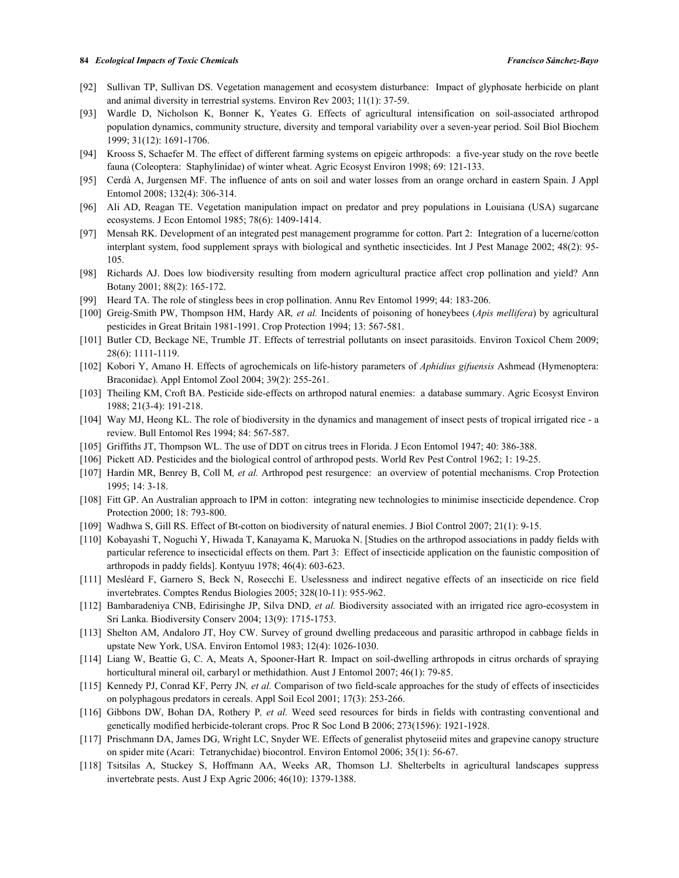- [92] Sullivan TP, Sullivan DS. Vegetation management and ecosystem disturbance: Impact of glyphosate herbicide on plant and animal diversity in terrestrial systems. Environ Rev 2003; 11(1): 37-59.
- [93] Wardle D, Nicholson K, Bonner K, Yeates G. Effects of agricultural intensification on soil-associated arthropod population dynamics, community structure, diversity and temporal variability over a seven-year period. Soil Biol Biochem 1999; 31(12): 1691-1706.
- [94] Krooss S, Schaefer M. The effect of different farming systems on epigeic arthropods: a five-year study on the rove beetle fauna (Coleoptera: Staphylinidae) of winter wheat. Agric Ecosyst Environ 1998; 69: 121-133.
- [95] Cerdà A, Jurgensen MF. The influence of ants on soil and water losses from an orange orchard in eastern Spain. J Appl Entomol 2008; 132(4): 306-314.
- [96] Ali AD, Reagan TE. Vegetation manipulation impact on predator and prey populations in Louisiana (USA) sugarcane ecosystems. J Econ Entomol 1985; 78(6): 1409-1414.
- [97] Mensah RK. Development of an integrated pest management programme for cotton. Part 2: Integration of a lucerne/cotton interplant system, food supplement sprays with biological and synthetic insecticides. Int J Pest Manage 2002; 48(2): 95- 105.
- [98] Richards AJ. Does low biodiversity resulting from modern agricultural practice affect crop pollination and yield? Ann Botany 2001; 88(2): 165-172.
- [99] Heard TA. The role of stingless bees in crop pollination. Annu Rev Entomol 1999; 44: 183-206.
- [100] Greig-Smith PW, Thompson HM, Hardy AR*, et al.* Incidents of poisoning of honeybees (*Apis mellifera*) by agricultural pesticides in Great Britain 1981-1991. Crop Protection 1994; 13: 567-581.
- [101] Butler CD, Beckage NE, Trumble JT. Effects of terrestrial pollutants on insect parasitoids. Environ Toxicol Chem 2009; 28(6): 1111-1119.
- [102] Kobori Y, Amano H. Effects of agrochemicals on life-history parameters of *Aphidius gifuensis* Ashmead (Hymenoptera: Braconidae). Appl Entomol Zool 2004; 39(2): 255-261.
- [103] Theiling KM, Croft BA. Pesticide side-effects on arthropod natural enemies: a database summary. Agric Ecosyst Environ 1988; 21(3-4): 191-218.
- [104] Way MJ, Heong KL. The role of biodiversity in the dynamics and management of insect pests of tropical irrigated rice a review. Bull Entomol Res 1994; 84: 567-587.
- [105] Griffiths JT, Thompson WL. The use of DDT on citrus trees in Florida. J Econ Entomol 1947; 40: 386-388.
- [106] Pickett AD. Pesticides and the biological control of arthropod pests. World Rev Pest Control 1962; 1: 19-25.
- [107] Hardin MR, Benrey B, Coll M*, et al.* Arthropod pest resurgence: an overview of potential mechanisms. Crop Protection 1995; 14: 3-18.
- [108] Fitt GP. An Australian approach to IPM in cotton: integrating new technologies to minimise insecticide dependence. Crop Protection 2000; 18: 793-800.
- [109] Wadhwa S, Gill RS. Effect of Bt-cotton on biodiversity of natural enemies. J Biol Control 2007; 21(1): 9-15.
- [110] Kobayashi T, Noguchi Y, Hiwada T, Kanayama K, Maruoka N. [Studies on the arthropod associations in paddy fields with particular reference to insecticidal effects on them. Part 3: Effect of insecticide application on the faunistic composition of arthropods in paddy fields]. Kontyuu 1978; 46(4): 603-623.
- [111] Mesléard F, Garnero S, Beck N, Rosecchi E. Uselessness and indirect negative effects of an insecticide on rice field invertebrates. Comptes Rendus Biologies 2005; 328(10-11): 955-962.
- [112] Bambaradeniya CNB, Edirisinghe JP, Silva DND*, et al.* Biodiversity associated with an irrigated rice agro-ecosystem in Sri Lanka. Biodiversity Conserv 2004; 13(9): 1715-1753.
- [113] Shelton AM, Andaloro JT, Hoy CW. Survey of ground dwelling predaceous and parasitic arthropod in cabbage fields in upstate New York, USA. Environ Entomol 1983; 12(4): 1026-1030.
- [114] Liang W, Beattie G, C. A, Meats A, Spooner-Hart R. Impact on soil-dwelling arthropods in citrus orchards of spraying horticultural mineral oil, carbaryl or methidathion. Aust J Entomol 2007; 46(1): 79-85.
- [115] Kennedy PJ, Conrad KF, Perry JN*, et al.* Comparison of two field-scale approaches for the study of effects of insecticides on polyphagous predators in cereals. Appl Soil Ecol 2001; 17(3): 253-266.
- [116] Gibbons DW, Bohan DA, Rothery P*, et al.* Weed seed resources for birds in fields with contrasting conventional and genetically modified herbicide-tolerant crops. Proc R Soc Lond B 2006; 273(1596): 1921-1928.
- [117] Prischmann DA, James DG, Wright LC, Snyder WE. Effects of generalist phytoseiid mites and grapevine canopy structure on spider mite (Acari: Tetranychidae) biocontrol. Environ Entomol 2006; 35(1): 56-67.
- [118] Tsitsilas A, Stuckey S, Hoffmann AA, Weeks AR, Thomson LJ. Shelterbelts in agricultural landscapes suppress invertebrate pests. Aust J Exp Agric 2006; 46(10): 1379-1388.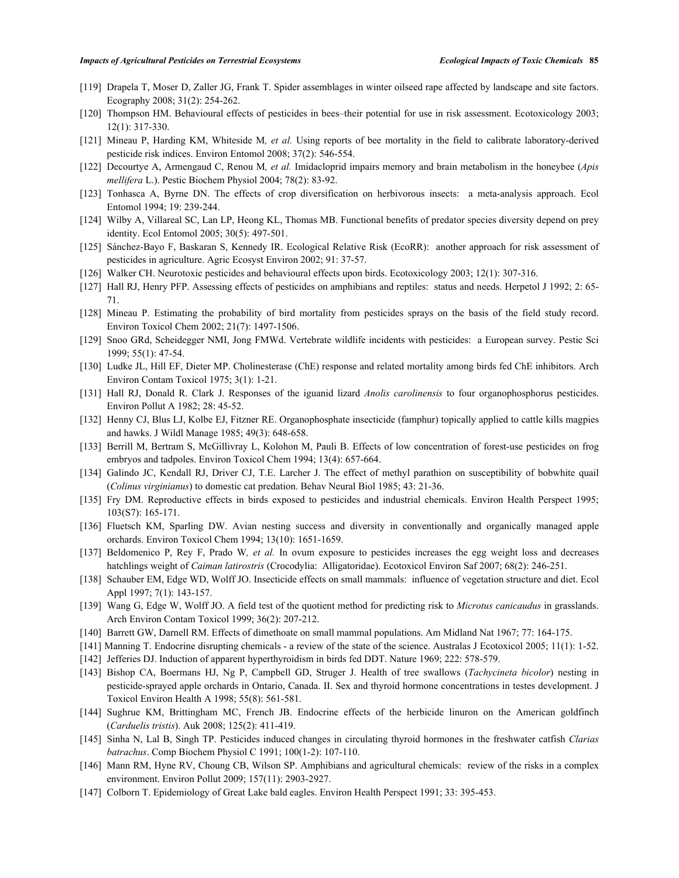- [119] Drapela T, Moser D, Zaller JG, Frank T. Spider assemblages in winter oilseed rape affected by landscape and site factors. Ecography 2008; 31(2): 254-262.
- [120] Thompson HM. Behavioural effects of pesticides in bees–their potential for use in risk assessment. Ecotoxicology 2003; 12(1): 317-330.
- [121] Mineau P, Harding KM, Whiteside M*, et al.* Using reports of bee mortality in the field to calibrate laboratory-derived pesticide risk indices. Environ Entomol 2008; 37(2): 546-554.
- [122] Decourtye A, Armengaud C, Renou M*, et al.* Imidacloprid impairs memory and brain metabolism in the honeybee (*Apis mellifera* L.). Pestic Biochem Physiol 2004; 78(2): 83-92.
- [123] Tonhasca A, Byrne DN. The effects of crop diversification on herbivorous insects: a meta-analysis approach. Ecol Entomol 1994; 19: 239-244.
- [124] Wilby A, Villareal SC, Lan LP, Heong KL, Thomas MB. Functional benefits of predator species diversity depend on prey identity. Ecol Entomol 2005; 30(5): 497-501.
- [125] Sánchez-Bayo F, Baskaran S, Kennedy IR. Ecological Relative Risk (EcoRR): another approach for risk assessment of pesticides in agriculture. Agric Ecosyst Environ 2002; 91: 37-57.
- [126] Walker CH. Neurotoxic pesticides and behavioural effects upon birds. Ecotoxicology 2003; 12(1): 307-316.
- [127] Hall RJ, Henry PFP. Assessing effects of pesticides on amphibians and reptiles: status and needs. Herpetol J 1992; 2: 65- 71.
- [128] Mineau P. Estimating the probability of bird mortality from pesticides sprays on the basis of the field study record. Environ Toxicol Chem 2002; 21(7): 1497-1506.
- [129] Snoo GRd, Scheidegger NMI, Jong FMWd. Vertebrate wildlife incidents with pesticides: a European survey. Pestic Sci 1999; 55(1): 47-54.
- [130] Ludke JL, Hill EF, Dieter MP. Cholinesterase (ChE) response and related mortality among birds fed ChE inhibitors. Arch Environ Contam Toxicol 1975; 3(1): 1-21.
- [131] Hall RJ, Donald R. Clark J. Responses of the iguanid lizard *Anolis carolinensis* to four organophosphorus pesticides. Environ Pollut A 1982; 28: 45-52.
- [132] Henny CJ, Blus LJ, Kolbe EJ, Fitzner RE. Organophosphate insecticide (famphur) topically applied to cattle kills magpies and hawks. J Wildl Manage 1985; 49(3): 648-658.
- [133] Berrill M, Bertram S, McGillivray L, Kolohon M, Pauli B. Effects of low concentration of forest-use pesticides on frog embryos and tadpoles. Environ Toxicol Chem 1994; 13(4): 657-664.
- [134] Galindo JC, Kendall RJ, Driver CJ, T.E. Larcher J. The effect of methyl parathion on susceptibility of bobwhite quail (*Colinus virginianus*) to domestic cat predation. Behav Neural Biol 1985; 43: 21-36.
- [135] Fry DM. Reproductive effects in birds exposed to pesticides and industrial chemicals. Environ Health Perspect 1995; 103(S7): 165-171.
- [136] Fluetsch KM, Sparling DW. Avian nesting success and diversity in conventionally and organically managed apple orchards. Environ Toxicol Chem 1994; 13(10): 1651-1659.
- [137] Beldomenico P, Rey F, Prado W*, et al.* In ovum exposure to pesticides increases the egg weight loss and decreases hatchlings weight of *Caiman latirostris* (Crocodylia: Alligatoridae). Ecotoxicol Environ Saf 2007; 68(2): 246-251.
- [138] Schauber EM, Edge WD, Wolff JO. Insecticide effects on small mammals: influence of vegetation structure and diet. Ecol Appl 1997; 7(1): 143-157.
- [139] Wang G, Edge W, Wolff JO. A field test of the quotient method for predicting risk to *Microtus canicaudus* in grasslands. Arch Environ Contam Toxicol 1999; 36(2): 207-212.
- [140] Barrett GW, Darnell RM. Effects of dimethoate on small mammal populations. Am Midland Nat 1967; 77: 164-175.
- [141] Manning T. Endocrine disrupting chemicals a review of the state of the science. Australas J Ecotoxicol 2005; 11(1): 1-52.
- [142] Jefferies DJ. Induction of apparent hyperthyroidism in birds fed DDT. Nature 1969; 222: 578-579.
- [143] Bishop CA, Boermans HJ, Ng P, Campbell GD, Struger J. Health of tree swallows (*Tachycineta bicolor*) nesting in pesticide-sprayed apple orchards in Ontario, Canada. II. Sex and thyroid hormone concentrations in testes development. J Toxicol Environ Health A 1998; 55(8): 561-581.
- [144] Sughrue KM, Brittingham MC, French JB. Endocrine effects of the herbicide linuron on the American goldfinch (*Carduelis tristis*). Auk 2008; 125(2): 411-419.
- [145] Sinha N, Lal B, Singh TP. Pesticides induced changes in circulating thyroid hormones in the freshwater catfish *Clarias batrachus*. Comp Biochem Physiol C 1991; 100(1-2): 107-110.
- [146] Mann RM, Hyne RV, Choung CB, Wilson SP. Amphibians and agricultural chemicals: review of the risks in a complex environment. Environ Pollut 2009; 157(11): 2903-2927.
- [147] Colborn T. Epidemiology of Great Lake bald eagles. Environ Health Perspect 1991; 33: 395-453.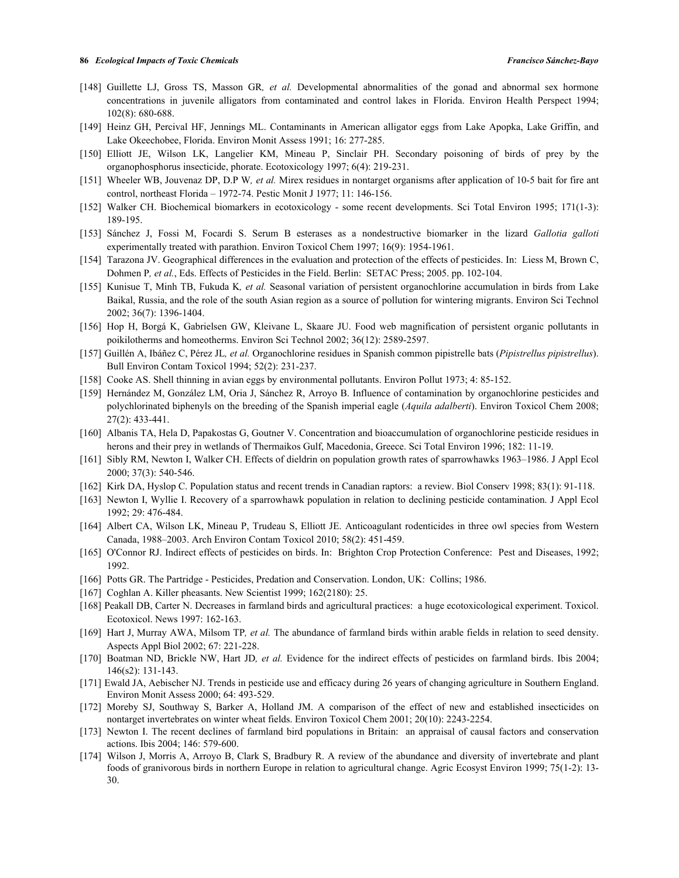- [148] Guillette LJ, Gross TS, Masson GR*, et al.* Developmental abnormalities of the gonad and abnormal sex hormone concentrations in juvenile alligators from contaminated and control lakes in Florida. Environ Health Perspect 1994; 102(8): 680-688.
- [149] Heinz GH, Percival HF, Jennings ML. Contaminants in American alligator eggs from Lake Apopka, Lake Griffin, and Lake Okeechobee, Florida. Environ Monit Assess 1991; 16: 277-285.
- [150] Elliott JE, Wilson LK, Langelier KM, Mineau P, Sinclair PH. Secondary poisoning of birds of prey by the organophosphorus insecticide, phorate. Ecotoxicology 1997; 6(4): 219-231.
- [151] Wheeler WB, Jouvenaz DP, D.P W*, et al.* Mirex residues in nontarget organisms after application of 10-5 bait for fire ant control, northeast Florida – 1972-74. Pestic Monit J 1977; 11: 146-156.
- [152] Walker CH. Biochemical biomarkers in ecotoxicology some recent developments. Sci Total Environ 1995; 171(1-3): 189-195.
- [153] Sánchez J, Fossi M, Focardi S. Serum B esterases as a nondestructive biomarker in the lizard *Gallotia galloti*  experimentally treated with parathion. Environ Toxicol Chem 1997; 16(9): 1954-1961.
- [154] Tarazona JV. Geographical differences in the evaluation and protection of the effects of pesticides. In: Liess M, Brown C, Dohmen P*, et al.*, Eds. Effects of Pesticides in the Field. Berlin: SETAC Press; 2005. pp. 102-104.
- [155] Kunisue T, Minh TB, Fukuda K*, et al.* Seasonal variation of persistent organochlorine accumulation in birds from Lake Baikal, Russia, and the role of the south Asian region as a source of pollution for wintering migrants. Environ Sci Technol 2002; 36(7): 1396-1404.
- [156] Hop H, Borgá K, Gabrielsen GW, Kleivane L, Skaare JU. Food web magnification of persistent organic pollutants in poikilotherms and homeotherms. Environ Sci Technol 2002; 36(12): 2589-2597.
- [157] Guillén A, Ibáñez C, Pérez JL*, et al.* Organochlorine residues in Spanish common pipistrelle bats (*Pipistrellus pipistrellus*). Bull Environ Contam Toxicol 1994; 52(2): 231-237.
- [158] Cooke AS. Shell thinning in avian eggs by environmental pollutants. Environ Pollut 1973; 4: 85-152.
- [159] Hernández M, González LM, Oria J, Sánchez R, Arroyo B. Influence of contamination by organochlorine pesticides and polychlorinated biphenyls on the breeding of the Spanish imperial eagle (*Aquila adalberti*). Environ Toxicol Chem 2008; 27(2): 433-441.
- [160] Albanis TA, Hela D, Papakostas G, Goutner V. Concentration and bioaccumulation of organochlorine pesticide residues in herons and their prey in wetlands of Thermaikos Gulf, Macedonia, Greece. Sci Total Environ 1996; 182: 11-19.
- [161] Sibly RM, Newton I, Walker CH. Effects of dieldrin on population growth rates of sparrowhawks 1963–1986. J Appl Ecol 2000; 37(3): 540-546.
- [162] Kirk DA, Hyslop C. Population status and recent trends in Canadian raptors: a review. Biol Conserv 1998; 83(1): 91-118.
- [163] Newton I, Wyllie I. Recovery of a sparrowhawk population in relation to declining pesticide contamination. J Appl Ecol 1992; 29: 476-484.
- [164] Albert CA, Wilson LK, Mineau P, Trudeau S, Elliott JE. Anticoagulant rodenticides in three owl species from Western Canada, 1988–2003. Arch Environ Contam Toxicol 2010; 58(2): 451-459.
- [165] O'Connor RJ. Indirect effects of pesticides on birds. In: Brighton Crop Protection Conference: Pest and Diseases, 1992; 1992.
- [166] Potts GR. The Partridge Pesticides, Predation and Conservation. London, UK: Collins; 1986.
- [167] Coghlan A. Killer pheasants. New Scientist 1999; 162(2180): 25.
- [168] Peakall DB, Carter N. Decreases in farmland birds and agricultural practices: a huge ecotoxicological experiment. Toxicol. Ecotoxicol. News 1997: 162-163.
- [169] Hart J, Murray AWA, Milsom TP*, et al.* The abundance of farmland birds within arable fields in relation to seed density. Aspects Appl Biol 2002; 67: 221-228.
- [170] Boatman ND, Brickle NW, Hart JD*, et al.* Evidence for the indirect effects of pesticides on farmland birds. Ibis 2004; 146(s2): 131-143.
- [171] Ewald JA, Aebischer NJ. Trends in pesticide use and efficacy during 26 years of changing agriculture in Southern England. Environ Monit Assess 2000; 64: 493-529.
- [172] Moreby SJ, Southway S, Barker A, Holland JM. A comparison of the effect of new and established insecticides on nontarget invertebrates on winter wheat fields. Environ Toxicol Chem 2001; 20(10): 2243-2254.
- [173] Newton I. The recent declines of farmland bird populations in Britain: an appraisal of causal factors and conservation actions. Ibis 2004; 146: 579-600.
- [174] Wilson J, Morris A, Arroyo B, Clark S, Bradbury R. A review of the abundance and diversity of invertebrate and plant foods of granivorous birds in northern Europe in relation to agricultural change. Agric Ecosyst Environ 1999; 75(1-2): 13- 30.